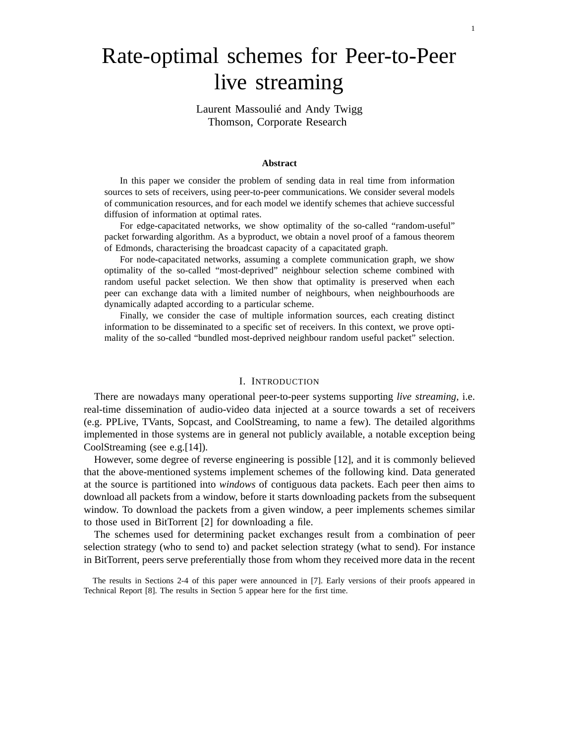# Rate-optimal schemes for Peer-to-Peer live streaming

Laurent Massoulié and Andy Twigg Thomson, Corporate Research

#### **Abstract**

In this paper we consider the problem of sending data in real time from information sources to sets of receivers, using peer-to-peer communications. We consider several models of communication resources, and for each model we identify schemes that achieve successful diffusion of information at optimal rates.

For edge-capacitated networks, we show optimality of the so-called "random-useful" packet forwarding algorithm. As a byproduct, we obtain a novel proof of a famous theorem of Edmonds, characterising the broadcast capacity of a capacitated graph.

For node-capacitated networks, assuming a complete communication graph, we show optimality of the so-called "most-deprived" neighbour selection scheme combined with random useful packet selection. We then show that optimality is preserved when each peer can exchange data with a limited number of neighbours, when neighbourhoods are dynamically adapted according to a particular scheme.

Finally, we consider the case of multiple information sources, each creating distinct information to be disseminated to a specific set of receivers. In this context, we prove optimality of the so-called "bundled most-deprived neighbour random useful packet" selection.

#### I. INTRODUCTION

There are nowadays many operational peer-to-peer systems supporting *live streaming*, i.e. real-time dissemination of audio-video data injected at a source towards a set of receivers (e.g. PPLive, TVants, Sopcast, and CoolStreaming, to name a few). The detailed algorithms implemented in those systems are in general not publicly available, a notable exception being CoolStreaming (see e.g.[14]).

However, some degree of reverse engineering is possible [12], and it is commonly believed that the above-mentioned systems implement schemes of the following kind. Data generated at the source is partitioned into *windows* of contiguous data packets. Each peer then aims to download all packets from a window, before it starts downloading packets from the subsequent window. To download the packets from a given window, a peer implements schemes similar to those used in BitTorrent [2] for downloading a file.

The schemes used for determining packet exchanges result from a combination of peer selection strategy (who to send to) and packet selection strategy (what to send). For instance in BitTorrent, peers serve preferentially those from whom they received more data in the recent

The results in Sections 2-4 of this paper were announced in [7]. Early versions of their proofs appeared in Technical Report [8]. The results in Section 5 appear here for the first time.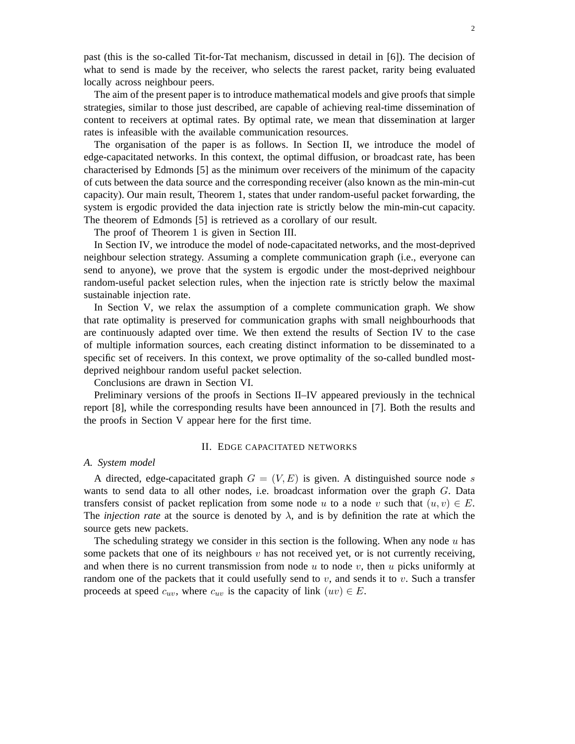past (this is the so-called Tit-for-Tat mechanism, discussed in detail in [6]). The decision of what to send is made by the receiver, who selects the rarest packet, rarity being evaluated locally across neighbour peers.

The aim of the present paper is to introduce mathematical models and give proofs that simple strategies, similar to those just described, are capable of achieving real-time dissemination of content to receivers at optimal rates. By optimal rate, we mean that dissemination at larger rates is infeasible with the available communication resources.

The organisation of the paper is as follows. In Section II, we introduce the model of edge-capacitated networks. In this context, the optimal diffusion, or broadcast rate, has been characterised by Edmonds [5] as the minimum over receivers of the minimum of the capacity of cuts between the data source and the corresponding receiver (also known as the min-min-cut capacity). Our main result, Theorem 1, states that under random-useful packet forwarding, the system is ergodic provided the data injection rate is strictly below the min-min-cut capacity. The theorem of Edmonds [5] is retrieved as a corollary of our result.

The proof of Theorem 1 is given in Section III.

In Section IV, we introduce the model of node-capacitated networks, and the most-deprived neighbour selection strategy. Assuming a complete communication graph (i.e., everyone can send to anyone), we prove that the system is ergodic under the most-deprived neighbour random-useful packet selection rules, when the injection rate is strictly below the maximal sustainable injection rate.

In Section V, we relax the assumption of a complete communication graph. We show that rate optimality is preserved for communication graphs with small neighbourhoods that are continuously adapted over time. We then extend the results of Section IV to the case of multiple information sources, each creating distinct information to be disseminated to a specific set of receivers. In this context, we prove optimality of the so-called bundled mostdeprived neighbour random useful packet selection.

Conclusions are drawn in Section VI.

Preliminary versions of the proofs in Sections II–IV appeared previously in the technical report [8], while the corresponding results have been announced in [7]. Both the results and the proofs in Section V appear here for the first time.

## II. EDGE CAPACITATED NETWORKS

#### *A. System model*

A directed, edge-capacitated graph  $G = (V, E)$  is given. A distinguished source node s wants to send data to all other nodes, i.e. broadcast information over the graph G. Data transfers consist of packet replication from some node u to a node v such that  $(u, v) \in E$ . The *injection rate* at the source is denoted by  $\lambda$ , and is by definition the rate at which the source gets new packets.

The scheduling strategy we consider in this section is the following. When any node  $u$  has some packets that one of its neighbours  $v$  has not received yet, or is not currently receiving, and when there is no current transmission from node  $u$  to node  $v$ , then  $u$  picks uniformly at random one of the packets that it could usefully send to  $v$ , and sends it to  $v$ . Such a transfer proceeds at speed  $c_{uv}$ , where  $c_{uv}$  is the capacity of link  $(uv) \in E$ .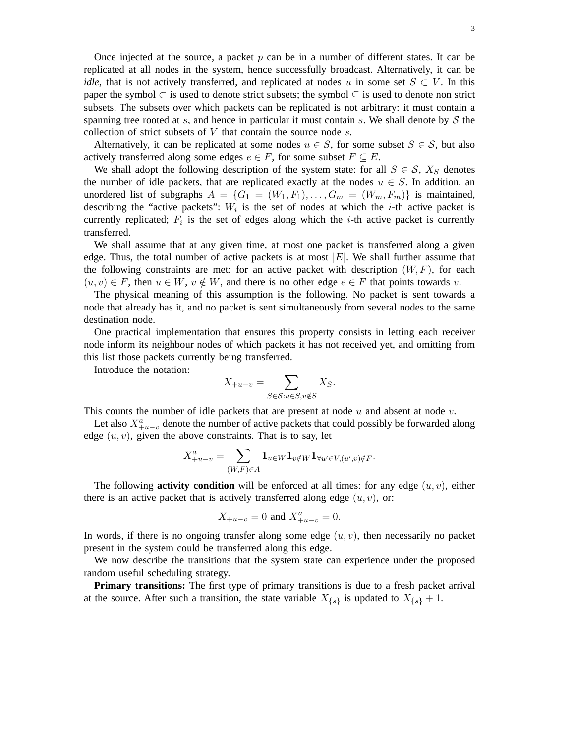Once injected at the source, a packet  $p$  can be in a number of different states. It can be replicated at all nodes in the system, hence successfully broadcast. Alternatively, it can be *idle*, that is not actively transferred, and replicated at nodes u in some set  $S \subset V$ . In this paper the symbol ⊂ is used to denote strict subsets; the symbol ⊆ is used to denote non strict subsets. The subsets over which packets can be replicated is not arbitrary: it must contain a spanning tree rooted at s, and hence in particular it must contain s. We shall denote by  $S$  the collection of strict subsets of  $V$  that contain the source node  $s$ .

Alternatively, it can be replicated at some nodes  $u \in S$ , for some subset  $S \in S$ , but also actively transferred along some edges  $e \in F$ , for some subset  $F \subseteq E$ .

We shall adopt the following description of the system state: for all  $S \in \mathcal{S}$ ,  $X_S$  denotes the number of idle packets, that are replicated exactly at the nodes  $u \in S$ . In addition, an unordered list of subgraphs  $A = \{G_1 = (W_1, F_1), \ldots, G_m = (W_m, F_m)\}\$  is maintained, describing the "active packets":  $W_i$  is the set of nodes at which the *i*-th active packet is currently replicated;  $F_i$  is the set of edges along which the *i*-th active packet is currently transferred.

We shall assume that at any given time, at most one packet is transferred along a given edge. Thus, the total number of active packets is at most  $|E|$ . We shall further assume that the following constraints are met: for an active packet with description  $(W, F)$ , for each  $(u, v) \in F$ , then  $u \in W$ ,  $v \notin W$ , and there is no other edge  $e \in F$  that points towards v.

The physical meaning of this assumption is the following. No packet is sent towards a node that already has it, and no packet is sent simultaneously from several nodes to the same destination node.

One practical implementation that ensures this property consists in letting each receiver node inform its neighbour nodes of which packets it has not received yet, and omitting from this list those packets currently being transferred.

Introduce the notation:

$$
X_{+u-v} = \sum_{S \in \mathcal{S}: u \in S, v \notin S} X_S.
$$

This counts the number of idle packets that are present at node  $u$  and absent at node  $v$ .

Let also  $X_{+u-v}^a$  denote the number of active packets that could possibly be forwarded along edge  $(u, v)$ , given the above constraints. That is to say, let

$$
X^a_{+u-v} = \sum_{(W,F)\in A} \mathbf{1}_{u\in W} \mathbf{1}_{v\notin W} \mathbf{1}_{\forall u'\in V, (u',v)\notin F}.
$$

The following **activity condition** will be enforced at all times: for any edge  $(u, v)$ , either there is an active packet that is actively transferred along edge  $(u, v)$ , or:

$$
X_{+u-v} = 0
$$
 and  $X_{+u-v}^a = 0$ .

In words, if there is no ongoing transfer along some edge  $(u, v)$ , then necessarily no packet present in the system could be transferred along this edge.

We now describe the transitions that the system state can experience under the proposed random useful scheduling strategy.

**Primary transitions:** The first type of primary transitions is due to a fresh packet arrival at the source. After such a transition, the state variable  $X_{\{s\}}$  is updated to  $X_{\{s\}} + 1$ .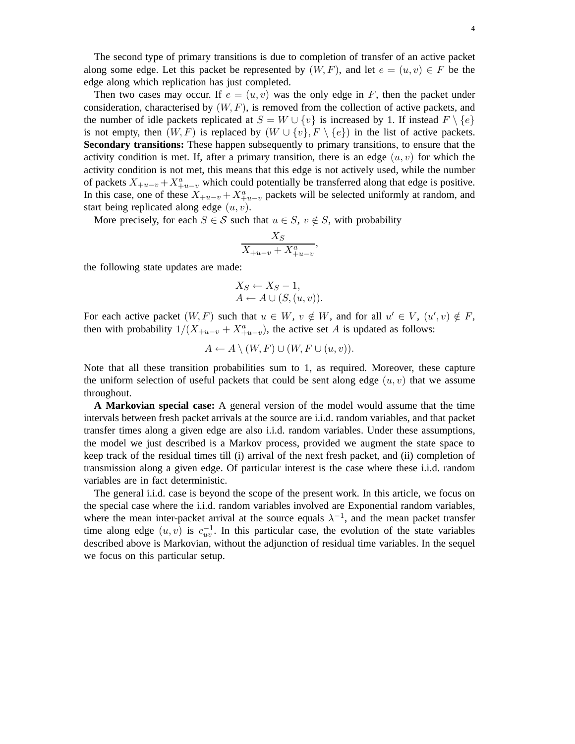The second type of primary transitions is due to completion of transfer of an active packet along some edge. Let this packet be represented by  $(W, F)$ , and let  $e = (u, v) \in F$  be the edge along which replication has just completed.

Then two cases may occur. If  $e = (u, v)$  was the only edge in F, then the packet under consideration, characterised by  $(W, F)$ , is removed from the collection of active packets, and the number of idle packets replicated at  $S = W \cup \{v\}$  is increased by 1. If instead  $F \setminus \{e\}$ is not empty, then  $(W, F)$  is replaced by  $(W \cup \{v\}, F \setminus \{e\})$  in the list of active packets. **Secondary transitions:** These happen subsequently to primary transitions, to ensure that the activity condition is met. If, after a primary transition, there is an edge  $(u, v)$  for which the activity condition is not met, this means that this edge is not actively used, while the number of packets  $X_{+u-v} + X_{+u-v}^a$  which could potentially be transferred along that edge is positive. In this case, one of these  $X_{+u-v} + X_{+u-v}^a$  packets will be selected uniformly at random, and start being replicated along edge  $(u, v)$ .

More precisely, for each  $S \in \mathcal{S}$  such that  $u \in S$ ,  $v \notin S$ , with probability

$$
\frac{X_S}{X_{+u-v} + X_{+u-v}^a},
$$

the following state updates are made:

$$
X_S \leftarrow X_S - 1,
$$
  

$$
A \leftarrow A \cup (S, (u, v)).
$$

For each active packet  $(W, F)$  such that  $u \in W$ ,  $v \notin W$ , and for all  $u' \in V$ ,  $(u', v) \notin F$ , then with probability  $1/(X_{+u-v} + X_{+u-v}^a)$ , the active set A is updated as follows:

$$
A \leftarrow A \setminus (W, F) \cup (W, F \cup (u, v)).
$$

Note that all these transition probabilities sum to 1, as required. Moreover, these capture the uniform selection of useful packets that could be sent along edge  $(u, v)$  that we assume throughout.

**A Markovian special case:** A general version of the model would assume that the time intervals between fresh packet arrivals at the source are i.i.d. random variables, and that packet transfer times along a given edge are also i.i.d. random variables. Under these assumptions, the model we just described is a Markov process, provided we augment the state space to keep track of the residual times till (i) arrival of the next fresh packet, and (ii) completion of transmission along a given edge. Of particular interest is the case where these i.i.d. random variables are in fact deterministic.

The general i.i.d. case is beyond the scope of the present work. In this article, we focus on the special case where the i.i.d. random variables involved are Exponential random variables, where the mean inter-packet arrival at the source equals  $\lambda^{-1}$ , and the mean packet transfer time along edge  $(u, v)$  is  $c_{uv}^{-1}$ . In this particular case, the evolution of the state variables described above is Markovian, without the adjunction of residual time variables. In the sequel we focus on this particular setup.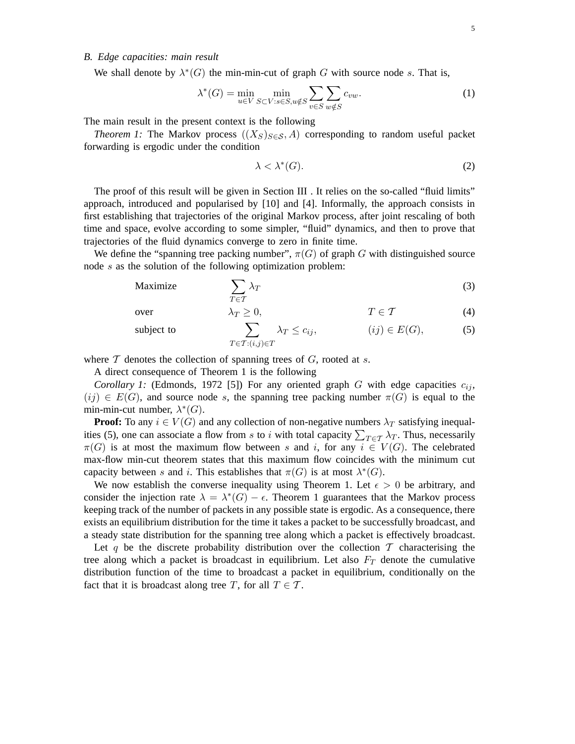## *B. Edge capacities: main result*

We shall denote by  $\lambda^*(G)$  the min-min-cut of graph G with source node s. That is,

$$
\lambda^*(G) = \min_{u \in V} \min_{S \subset V : s \in S, u \notin S} \sum_{v \in S} \sum_{w \notin S} c_{vw}.
$$
 (1)

The main result in the present context is the following

*Theorem 1:* The Markov process  $((X_S)_{S \in \mathcal{S}}, A)$  corresponding to random useful packet forwarding is ergodic under the condition

$$
\lambda < \lambda^*(G). \tag{2}
$$

The proof of this result will be given in Section III . It relies on the so-called "fluid limits" approach, introduced and popularised by [10] and [4]. Informally, the approach consists in first establishing that trajectories of the original Markov process, after joint rescaling of both time and space, evolve according to some simpler, "fluid" dynamics, and then to prove that trajectories of the fluid dynamics converge to zero in finite time.

We define the "spanning tree packing number",  $\pi(G)$  of graph G with distinguished source node s as the solution of the following optimization problem:

$$
\text{Maximize} \qquad \qquad \sum_{T \in \mathcal{T}} \lambda_T \tag{3}
$$

over 
$$
\lambda_T \geq 0
$$
,  $T \in \mathcal{T}$  (4)

subject to 
$$
\sum_{T \in \mathcal{T}: (i,j) \in T} \lambda_T \leq c_{ij}, \qquad (ij) \in E(G), \tag{5}
$$

where  $\mathcal T$  denotes the collection of spanning trees of  $G$ , rooted at s.

A direct consequence of Theorem 1 is the following

*Corollary 1:* (Edmonds, 1972 [5]) For any oriented graph G with edge capacities  $c_{ij}$ ,  $(ij) \in E(G)$ , and source node s, the spanning tree packing number  $\pi(G)$  is equal to the min-min-cut number,  $\lambda^*(G)$ .

**Proof:** To any  $i \in V(G)$  and any collection of non-negative numbers  $\lambda_T$  satisfying inequalities (5), one can associate a flow from s to i with total capacity  $\sum_{T \in \mathcal{T}} \lambda_T$ . Thus, necessarily  $\pi(G)$  is at most the maximum flow between s and i, for any  $i \in V(G)$ . The celebrated max-flow min-cut theorem states that this maximum flow coincides with the minimum cut capacity between s and i. This establishes that  $\pi(G)$  is at most  $\lambda^*(G)$ .

We now establish the converse inequality using Theorem 1. Let  $\epsilon > 0$  be arbitrary, and consider the injection rate  $\lambda = \lambda^*(G) - \epsilon$ . Theorem 1 guarantees that the Markov process keeping track of the number of packets in any possible state is ergodic. As a consequence, there exists an equilibrium distribution for the time it takes a packet to be successfully broadcast, and a steady state distribution for the spanning tree along which a packet is effectively broadcast.

Let q be the discrete probability distribution over the collection  $\mathcal T$  characterising the tree along which a packet is broadcast in equilibrium. Let also  $F<sub>T</sub>$  denote the cumulative distribution function of the time to broadcast a packet in equilibrium, conditionally on the fact that it is broadcast along tree T, for all  $T \in \mathcal{T}$ .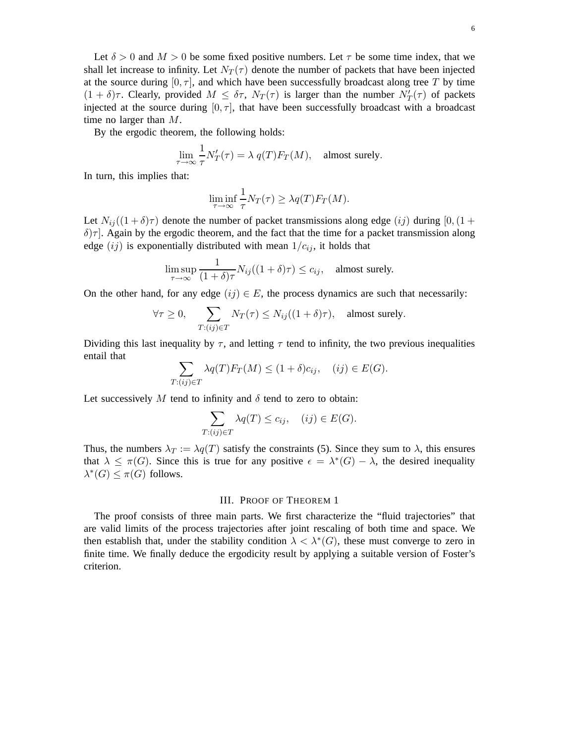Let  $\delta > 0$  and  $M > 0$  be some fixed positive numbers. Let  $\tau$  be some time index, that we shall let increase to infinity. Let  $N_T(\tau)$  denote the number of packets that have been injected at the source during  $[0, \tau]$ , and which have been successfully broadcast along tree T by time  $(1 + \delta)\tau$ . Clearly, provided  $M \leq \delta\tau$ ,  $N_T(\tau)$  is larger than the number  $N'_T(\tau)$  of packets injected at the source during  $[0, \tau]$ , that have been successfully broadcast with a broadcast time no larger than M.

By the ergodic theorem, the following holds:

$$
\lim_{\tau \to \infty} \frac{1}{\tau} N'_T(\tau) = \lambda \, q(T) F_T(M), \quad \text{almost surely.}
$$

In turn, this implies that:

$$
\liminf_{\tau \to \infty} \frac{1}{\tau} N_T(\tau) \ge \lambda q(T) F_T(M).
$$

Let  $N_{ij}((1 + \delta)\tau)$  denote the number of packet transmissions along edge  $(ij)$  during  $[0, (1 +$  $\delta$ ) $\tau$ ]. Again by the ergodic theorem, and the fact that the time for a packet transmission along edge  $(ij)$  is exponentially distributed with mean  $1/c_{ij}$ , it holds that

$$
\limsup_{\tau \to \infty} \frac{1}{(1+\delta)\tau} N_{ij}((1+\delta)\tau) \le c_{ij}, \quad \text{almost surely.}
$$

On the other hand, for any edge  $(ij) \in E$ , the process dynamics are such that necessarily:

$$
\forall \tau \ge 0, \quad \sum_{T:(ij)\in T} N_T(\tau) \le N_{ij}((1+\delta)\tau), \quad \text{almost surely.}
$$

Dividing this last inequality by  $\tau$ , and letting  $\tau$  tend to infinity, the two previous inequalities entail that

$$
\sum_{T:(ij)\in T} \lambda q(T) F_T(M) \le (1+\delta)c_{ij}, \quad (ij) \in E(G).
$$

Let successively M tend to infinity and  $\delta$  tend to zero to obtain:

$$
\sum_{T:(ij)\in T}\lambda q(T)\leq c_{ij}, \quad (ij)\in E(G).
$$

Thus, the numbers  $\lambda_T := \lambda q(T)$  satisfy the constraints (5). Since they sum to  $\lambda$ , this ensures that  $\lambda \leq \pi(G)$ . Since this is true for any positive  $\epsilon = \lambda^*(G) - \lambda$ , the desired inequality  $\lambda^*(G) \leq \pi(G)$  follows.

#### III. PROOF OF THEOREM 1

The proof consists of three main parts. We first characterize the "fluid trajectories" that are valid limits of the process trajectories after joint rescaling of both time and space. We then establish that, under the stability condition  $\lambda < \lambda^*(G)$ , these must converge to zero in finite time. We finally deduce the ergodicity result by applying a suitable version of Foster's criterion.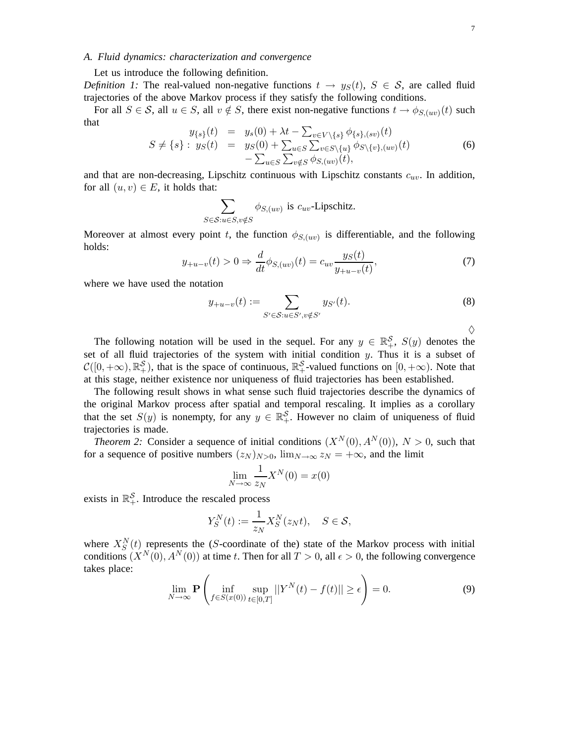## *A. Fluid dynamics: characterization and convergence*

#### Let us introduce the following definition.

*Definition 1:* The real-valued non-negative functions  $t \rightarrow y_S(t)$ ,  $S \in S$ , are called fluid trajectories of the above Markov process if they satisfy the following conditions.

For all  $S \in \mathcal{S}$ , all  $u \in S$ , all  $v \notin S$ , there exist non-negative functions  $t \to \phi_{S,(uv)}(t)$  such that

$$
y_{\{s\}}(t) = y_s(0) + \lambda t - \sum_{v \in V \setminus \{s\}} \phi_{\{s\},(sv)}(t)
$$
  
\n
$$
S \neq \{s\} : y_S(t) = y_S(0) + \sum_{u \in S} \sum_{v \in S \setminus \{u\}} \phi_{S \setminus \{v\},(uv)}(t)
$$
  
\n
$$
- \sum_{u \in S} \sum_{v \notin S} \phi_{S,(uv)}(t),
$$
\n(6)

and that are non-decreasing, Lipschitz continuous with Lipschitz constants  $c_{uv}$ . In addition, for all  $(u, v) \in E$ , it holds that:

$$
\sum_{S \in \mathcal{S}: u \in S, v \notin S} \phi_{S,(uv)} \text{ is } c_{uv} \text{-Lipschitz.}
$$

Moreover at almost every point t, the function  $\phi_{S,(uv)}$  is differentiable, and the following holds:

$$
y_{+u-v}(t) > 0 \Rightarrow \frac{d}{dt} \phi_{S(uv)}(t) = c_{uv} \frac{y_S(t)}{y_{+u-v}(t)},
$$
 (7)

where we have used the notation

$$
y_{+u-v}(t) := \sum_{S' \in \mathcal{S} : u \in S', v \notin S'} y_{S'}(t). \tag{8}
$$

 $\Diamond$ 

The following notation will be used in the sequel. For any  $y \in \mathbb{R}^S_+$ ,  $S(y)$  denotes the set of all fluid trajectories of the system with initial condition  $y$ . Thus it is a subset of  $\mathcal{C}([0,+\infty),\mathbb{R}^{\mathcal{S}}_+)$ , that is the space of continuous,  $\mathbb{R}^{\mathcal{S}}_+$ -valued functions on  $[0,+\infty)$ . Note that at this stage, neither existence nor uniqueness of fluid trajectories has been established.

The following result shows in what sense such fluid trajectories describe the dynamics of the original Markov process after spatial and temporal rescaling. It implies as a corollary that the set  $S(y)$  is nonempty, for any  $y \in \mathbb{R}^S_+$ . However no claim of uniqueness of fluid trajectories is made.

*Theorem 2:* Consider a sequence of initial conditions  $(X^N(0), A^N(0)), N > 0$ , such that for a sequence of positive numbers  $(z_N)_{N>0}$ ,  $\lim_{N\to\infty} z_N = +\infty$ , and the limit

$$
\lim_{N \to \infty} \frac{1}{z_N} X^N(0) = x(0)
$$

exists in  $\mathbb{R}^{\mathcal{S}}_+$ . Introduce the rescaled process

$$
Y_S^N(t) := \frac{1}{z_N} X_S^N(z_N t), \quad S \in \mathcal{S},
$$

where  $X_S^N(t)$  represents the (S-coordinate of the) state of the Markov process with initial conditions  $(X^N(0), A^N(0))$  at time t. Then for all  $T > 0$ , all  $\epsilon > 0$ , the following convergence takes place:

$$
\lim_{N \to \infty} \mathbf{P} \left( \inf_{f \in S(x(0))} \sup_{t \in [0,T]} ||Y^N(t) - f(t)|| \ge \epsilon \right) = 0.
$$
\n(9)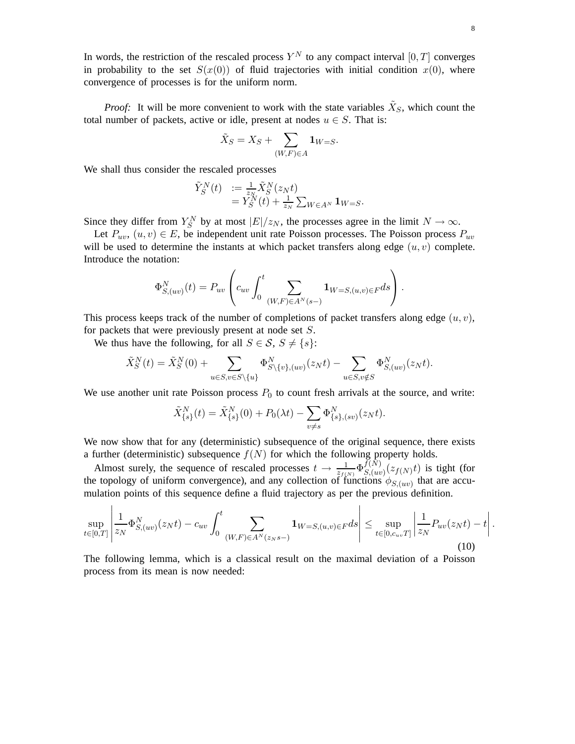In words, the restriction of the rescaled process  $Y^N$  to any compact interval  $[0, T]$  converges in probability to the set  $S(x(0))$  of fluid trajectories with initial condition  $x(0)$ , where convergence of processes is for the uniform norm.

*Proof:* It will be more convenient to work with the state variables  $\tilde{X}_S$ , which count the total number of packets, active or idle, present at nodes  $u \in S$ . That is:

$$
\tilde{X}_S = X_S + \sum_{(W,F) \in A} \mathbf{1}_{W = S}.
$$

We shall thus consider the rescaled processes

$$
\begin{array}{ll} \tilde{Y}_S^N(t) &:= \frac{1}{z_N} \tilde{X}_S^N(z_N t) \\ & = Y_S^N(t) + \frac{1}{z_N} \sum_{W \in A^N} \mathbf{1}_{W = S}. \end{array}
$$

Since they differ from  $Y_S^N$  by at most  $|E|/z_N$ , the processes agree in the limit  $N \to \infty$ .

Let  $P_{uv}$ ,  $(u, v) \in E$ , be independent unit rate Poisson processes. The Poisson process  $P_{uv}$ will be used to determine the instants at which packet transfers along edge  $(u, v)$  complete. Introduce the notation:

$$
\Phi_{S,(uv)}^N(t) = P_{uv} \left( c_{uv} \int_0^t \sum_{(W,F) \in A^N(s-)} \mathbf{1}_{W=S,(u,v) \in F} ds \right).
$$

This process keeps track of the number of completions of packet transfers along edge  $(u, v)$ , for packets that were previously present at node set S.

We thus have the following, for all  $S \in \mathcal{S}, S \neq \{s\}$ :

 $\mathbf{I}$ 

$$
\tilde{X}_S^N(t) = \tilde{X}_S^N(0) + \sum_{u \in S, v \in S \setminus \{u\}} \Phi_{S \setminus \{v\}, (uv)}^N(z_N t) - \sum_{u \in S, v \notin S} \Phi_{S, (uv)}^N(z_N t).
$$

We use another unit rate Poisson process  $P_0$  to count fresh arrivals at the source, and write:

$$
\tilde{X}_{\{s\}}^N(t) = \tilde{X}_{\{s\}}^N(0) + P_0(\lambda t) - \sum_{v \neq s} \Phi_{\{s\},(sv)}^N(z_N t).
$$

We now show that for any (deterministic) subsequence of the original sequence, there exists a further (deterministic) subsequence  $f(N)$  for which the following property holds.

Almost surely, the sequence of rescaled processes  $t \to \frac{1}{z_{f(N)}} \Phi_{S,(u_N)}^{f(N)}$  $S_{S(uv)}^{J(V)}(z_{f(N)}t)$  is tight (for the topology of uniform convergence), and any collection of functions  $\phi_{S,(uv)}$  that are accumulation points of this sequence define a fluid trajectory as per the previous definition.

$$
\sup_{t\in[0,T]}\left|\frac{1}{z_N}\Phi_{S,(uv)}^N(z_Nt)-c_{uv}\int_0^t\sum_{(W,F)\in A^N(z_Ns-)}\mathbf{1}_{W=S,(u,v)\in F}ds\right|\leq \sup_{t\in[0,c_{uv}T]}\left|\frac{1}{z_N}P_{uv}(z_Nt)-t\right|.
$$
\n(10)

 $\overline{1}$ 

The following lemma, which is a classical result on the maximal deviation of a Poisson process from its mean is now needed: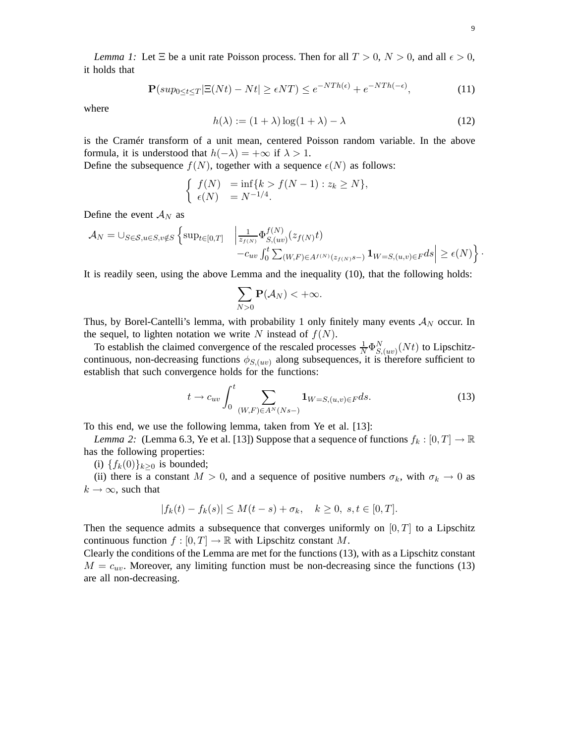*Lemma 1:* Let  $\Xi$  be a unit rate Poisson process. Then for all  $T > 0$ ,  $N > 0$ , and all  $\epsilon > 0$ , it holds that

$$
\mathbf{P}(sup_{0 \le t \le T} |\Xi(Nt) - Nt| \ge \epsilon NT) \le e^{-NTh(\epsilon)} + e^{-NTh(-\epsilon)},\tag{11}
$$

where

$$
h(\lambda) := (1 + \lambda) \log(1 + \lambda) - \lambda \tag{12}
$$

is the Cramér transform of a unit mean, centered Poisson random variable. In the above formula, it is understood that  $h(-\lambda) = +\infty$  if  $\lambda > 1$ .

Define the subsequence  $f(N)$ , together with a sequence  $\epsilon(N)$  as follows:

$$
\begin{cases} f(N) = \inf\{k > f(N-1) : z_k \ge N\}, \\ \epsilon(N) = N^{-1/4}. \end{cases}
$$

Define the event  $A_N$  as

$$
\mathcal{A}_N = \bigcup_{S \in \mathcal{S}, u \in S, v \notin S} \left\{ \sup_{t \in [0,T]} \left| \frac{1}{z_{f(N)}} \Phi_{S,(uv)}^{f(N)}(z_{f(N)}t) - c_{uv} \int_0^t \sum_{(W,F) \in A^{f(N)}(z_{f(N)}s-)} \mathbf{1}_{W=S,(u,v) \in F} ds \right| \ge \epsilon(N) \right\}.
$$

It is readily seen, using the above Lemma and the inequality (10), that the following holds:

$$
\sum_{N>0}\mathbf{P}(\mathcal{A}_N)<+\infty.
$$

Thus, by Borel-Cantelli's lemma, with probability 1 only finitely many events  $\mathcal{A}_N$  occur. In the sequel, to lighten notation we write N instead of  $f(N)$ .

To establish the claimed convergence of the rescaled processes  $\frac{1}{N} \Phi_{S_i(uv)}^N(Nt)$  to Lipschitzcontinuous, non-decreasing functions  $\phi_{S,(uv)}$  along subsequences, it is therefore sufficient to establish that such convergence holds for the functions:

$$
t \to c_{uv} \int_0^t \sum_{(W,F)\in A^N(Ns-)} \mathbf{1}_{W=S,(u,v)\in F} ds.
$$
 (13)

To this end, we use the following lemma, taken from Ye et al. [13]:

*Lemma 2:* (Lemma 6.3, Ye et al. [13]) Suppose that a sequence of functions  $f_k : [0, T] \to \mathbb{R}$ has the following properties:

(i)  $\{f_k(0)\}_{k>0}$  is bounded;

(ii) there is a constant  $M > 0$ , and a sequence of positive numbers  $\sigma_k$ , with  $\sigma_k \to 0$  as  $k \to \infty$ , such that

$$
|f_k(t) - f_k(s)| \le M(t - s) + \sigma_k, \quad k \ge 0, \ s, t \in [0, T].
$$

Then the sequence admits a subsequence that converges uniformly on  $[0, T]$  to a Lipschitz continuous function  $f : [0, T] \to \mathbb{R}$  with Lipschitz constant M.

Clearly the conditions of the Lemma are met for the functions (13), with as a Lipschitz constant  $M = c_{uv}$ . Moreover, any limiting function must be non-decreasing since the functions (13) are all non-decreasing.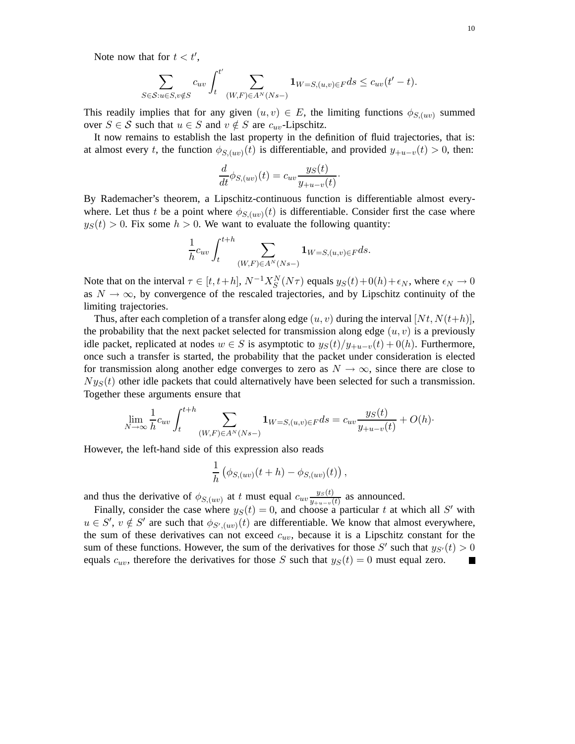Note now that for  $t < t'$ ,

$$
\sum_{S \in \mathcal{S}: u \in S, v \notin S} c_{uv} \int_t^{t'} \sum_{(W,F) \in A^N(Ns-)} \mathbf{1}_{W=S,(u,v) \in F} ds \le c_{uv}(t'-t).
$$

This readily implies that for any given  $(u, v) \in E$ , the limiting functions  $\phi_{S,(uv)}$  summed over  $S \in \mathcal{S}$  such that  $u \in S$  and  $v \notin S$  are  $c_{uv}$ -Lipschitz.

It now remains to establish the last property in the definition of fluid trajectories, that is: at almost every t, the function  $\phi_{S,(uv)}(t)$  is differentiable, and provided  $y_{+u-v}(t) > 0$ , then:

$$
\frac{d}{dt}\phi_{S,(uv)}(t) = c_{uv}\frac{y_S(t)}{y_{+u-v}(t)}.
$$

By Rademacher's theorem, a Lipschitz-continuous function is differentiable almost everywhere. Let thus t be a point where  $\phi_{S,(uv)}(t)$  is differentiable. Consider first the case where  $y_S(t) > 0$ . Fix some  $h > 0$ . We want to evaluate the following quantity:

$$
\frac{1}{h}c_{uv}\int_t^{t+h}\sum_{(W,F)\in A^N(Ns-)}\mathbf{1}_{W=S,(u,v)\in F}ds.
$$

Note that on the interval  $\tau \in [t, t+h]$ ,  $N^{-1}X_S^N(N\tau)$  equals  $y_S(t)+0(h)+\epsilon_N$ , where  $\epsilon_N \to 0$ as  $N \to \infty$ , by convergence of the rescaled trajectories, and by Lipschitz continuity of the limiting trajectories.

Thus, after each completion of a transfer along edge  $(u, v)$  during the interval  $[Nt, N(t+h)],$ the probability that the next packet selected for transmission along edge  $(u, v)$  is a previously idle packet, replicated at nodes  $w \in S$  is asymptotic to  $y_S(t)/y_{+u-v}(t) + 0(h)$ . Furthermore, once such a transfer is started, the probability that the packet under consideration is elected for transmission along another edge converges to zero as  $N \to \infty$ , since there are close to  $N_{\mathcal{Y}S}(t)$  other idle packets that could alternatively have been selected for such a transmission. Together these arguments ensure that

$$
\lim_{N \to \infty} \frac{1}{h} c_{uv} \int_{t}^{t+h} \sum_{(W,F) \in A^{N}(Ns-)} \mathbf{1}_{W=S,(u,v) \in F} ds = c_{uv} \frac{y_S(t)}{y_{+u-v}(t)} + O(h) \cdot
$$

However, the left-hand side of this expression also reads

$$
\frac{1}{h} \left( \phi_{S,(uv)}(t+h) - \phi_{S,(uv)}(t) \right),\,
$$

and thus the derivative of  $\phi_{S,(uv)}$  at t must equal  $c_{uv}\frac{y_S(t)}{y_{\phi(v)-v}}$  $\frac{y_S(t)}{y_{+u-v}(t)}$  as announced.

Finally, consider the case where  $y_S(t) = 0$ , and choose a particular t at which all S' with  $u \in S'$ ,  $v \notin S'$  are such that  $\phi_{S',(uv)}(t)$  are differentiable. We know that almost everywhere, the sum of these derivatives can not exceed  $c_{uv}$ , because it is a Lipschitz constant for the sum of these functions. However, the sum of the derivatives for those S' such that  $y_{S'}(t) > 0$ equals  $c_{uv}$ , therefore the derivatives for those S such that  $y_S(t) = 0$  must equal zero.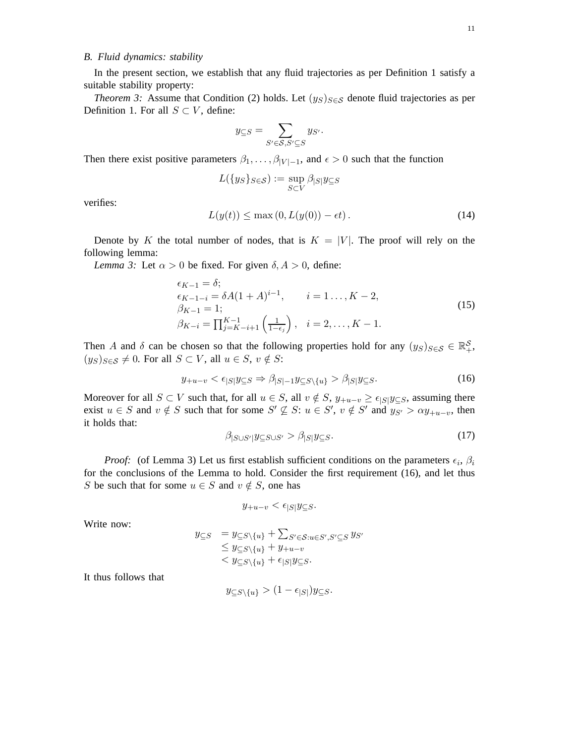## *B. Fluid dynamics: stability*

In the present section, we establish that any fluid trajectories as per Definition 1 satisfy a suitable stability property:

*Theorem 3:* Assume that Condition (2) holds. Let  $(y_S)_{S \in \mathcal{S}}$  denote fluid trajectories as per Definition 1. For all  $S \subset V$ , define:

$$
y_{\subseteq S} = \sum_{S' \in \mathcal{S}, S' \subseteq S} y_{S'}.
$$

Then there exist positive parameters  $\beta_1, \dots, \beta_{|V|-1}$ , and  $\epsilon > 0$  such that the function

$$
L(\{y_S\}_{S\in\mathcal{S}}):=\sup_{S\subset V}\beta_{|S|}y_{\subseteq S}
$$

verifies:

$$
L(y(t)) \le \max(0, L(y(0)) - \epsilon t). \tag{14}
$$

Denote by K the total number of nodes, that is  $K = |V|$ . The proof will rely on the following lemma:

*Lemma 3:* Let  $\alpha > 0$  be fixed. For given  $\delta$ ,  $A > 0$ , define:

$$
\epsilon_{K-1} = \delta;
$$
  
\n
$$
\epsilon_{K-1-i} = \delta A (1 + A)^{i-1}, \qquad i = 1..., K-2,
$$
  
\n
$$
\beta_{K-1} = 1;
$$
  
\n
$$
\beta_{K-i} = \prod_{j=K-i+1}^{K-1} \left( \frac{1}{1-\epsilon_j} \right), \quad i = 2,..., K-1.
$$
\n(15)

Then A and  $\delta$  can be chosen so that the following properties hold for any  $(y_S)_{S \in \mathcal{S}} \in \mathbb{R}^{\mathcal{S}}_+$ ,  $(y_S)_{S \in \mathcal{S}} \neq 0$ . For all  $S \subset V$ , all  $u \in S$ ,  $v \notin S$ :

$$
y_{+u-v} < \epsilon_{|S|} y_{\subseteq S} \Rightarrow \beta_{|S|-1} y_{\subseteq S \setminus \{u\}} > \beta_{|S|} y_{\subseteq S}.\tag{16}
$$

Moreover for all  $S \subset V$  such that, for all  $u \in S$ , all  $v \notin S$ ,  $y_{+u-v} \ge \epsilon_{|S|}y_{\subset S}$ , assuming there exist  $u \in S$  and  $v \notin S$  such that for some  $S' \nsubseteq S$ :  $u \in S'$ ,  $v \notin S'$  and  $y_{S'} > \alpha y_{+u-v}$ , then it holds that:

$$
\beta_{|S \cup S'|} y_{\subseteq S \cup S'} > \beta_{|S|} y_{\subseteq S}.\tag{17}
$$

*Proof:* (of Lemma 3) Let us first establish sufficient conditions on the parameters  $\epsilon_i$ ,  $\beta_i$ for the conclusions of the Lemma to hold. Consider the first requirement (16), and let thus S be such that for some  $u \in S$  and  $v \notin S$ , one has

$$
y_{+u-v}<\epsilon_{|S|}y_{\subseteq S}.
$$

Write now:

$$
y_{\subseteq S} = y_{\subseteq S\setminus\{u\}} + \sum_{S' \in S: u \in S', S' \subseteq S} y_{S'}\leq y_{\subseteq S\setminus\{u\}} + y_{+u-v}< y_{\subseteq S\setminus\{u\}} + \epsilon_{|S|} y_{\subseteq S}.
$$

It thus follows that

$$
y_{\subseteq S\setminus\{u\}} > (1 - \epsilon_{|S|})y_{\subseteq S}.
$$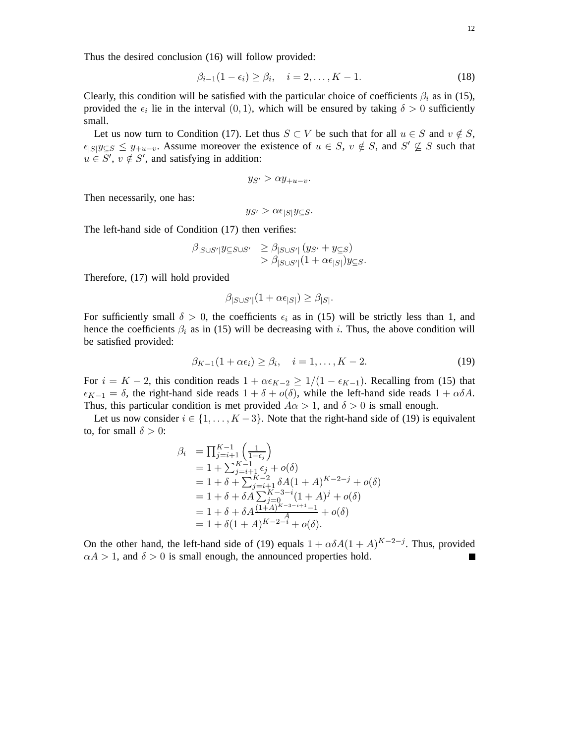Thus the desired conclusion (16) will follow provided:

$$
\beta_{i-1}(1-\epsilon_i) \ge \beta_i, \quad i=2,\ldots,K-1. \tag{18}
$$

Clearly, this condition will be satisfied with the particular choice of coefficients  $\beta_i$  as in (15), provided the  $\epsilon_i$  lie in the interval  $(0, 1)$ , which will be ensured by taking  $\delta > 0$  sufficiently small.

Let us now turn to Condition (17). Let thus  $S \subset V$  be such that for all  $u \in S$  and  $v \notin S$ ,  $\epsilon_{|S|}y_{\subseteq S} \leq y_{+u-v}$ . Assume moreover the existence of  $u \in S$ ,  $v \notin S$ , and  $S' \nsubseteq S$  such that  $u \in S'$ ,  $v \notin S'$ , and satisfying in addition:

$$
y_{S'} > \alpha y_{+u-v}.
$$

Then necessarily, one has:

$$
y_{S'} > \alpha \epsilon_{|S|} y_{\subseteq S}.
$$

The left-hand side of Condition (17) then verifies:

$$
\beta_{|S \cup S'|} y_{\subseteq S \cup S'} \geq \beta_{|S \cup S'|} (y_{S'} + y_{\subseteq S})
$$
  
> 
$$
\beta_{|S \cup S'|} (1 + \alpha \epsilon_{|S|}) y_{\subseteq S}.
$$

Therefore, (17) will hold provided

$$
\beta_{|S\cup S'|}(1+\alpha\epsilon_{|S|}) \ge \beta_{|S|}.
$$

For sufficiently small  $\delta > 0$ , the coefficients  $\epsilon_i$  as in (15) will be strictly less than 1, and hence the coefficients  $\beta_i$  as in (15) will be decreasing with i. Thus, the above condition will be satisfied provided:

$$
\beta_{K-1}(1+\alpha\epsilon_i) \ge \beta_i, \quad i=1,\ldots,K-2. \tag{19}
$$

For  $i = K - 2$ , this condition reads  $1 + \alpha \epsilon_{K-2} \ge 1/(1 - \epsilon_{K-1})$ . Recalling from (15) that  $\epsilon_{K-1} = \delta$ , the right-hand side reads  $1 + \delta + o(\delta)$ , while the left-hand side reads  $1 + \alpha \delta A$ . Thus, this particular condition is met provided  $A\alpha > 1$ , and  $\delta > 0$  is small enough.

Let us now consider  $i \in \{1, \ldots, K-3\}$ . Note that the right-hand side of (19) is equivalent to, for small  $\delta > 0$ :

$$
\beta_i = \prod_{j=i+1}^{K-1} \left( \frac{1}{1-\epsilon_j} \right)
$$
  
= 1 +  $\sum_{j=i+1}^{K-1} \epsilon_j + o(\delta)$   
= 1 +  $\delta + \sum_{j=i+1}^{K-2} \delta A (1 + A)^{K-2-j} + o(\delta)$   
= 1 +  $\delta + \delta A \sum_{j=0}^{K-3-i} (1 + A)^j + o(\delta)$   
= 1 +  $\delta + \delta A \frac{(1+A)^{K-3-i+1}-1}{A} + o(\delta)$   
= 1 +  $\delta (1 + A)^{K-2-i} + o(\delta)$ .

On the other hand, the left-hand side of (19) equals  $1 + \alpha \delta A (1 + A)^{K-2-j}$ . Thus, provided  $\alpha A > 1$ , and  $\delta > 0$  is small enough, the announced properties hold. Е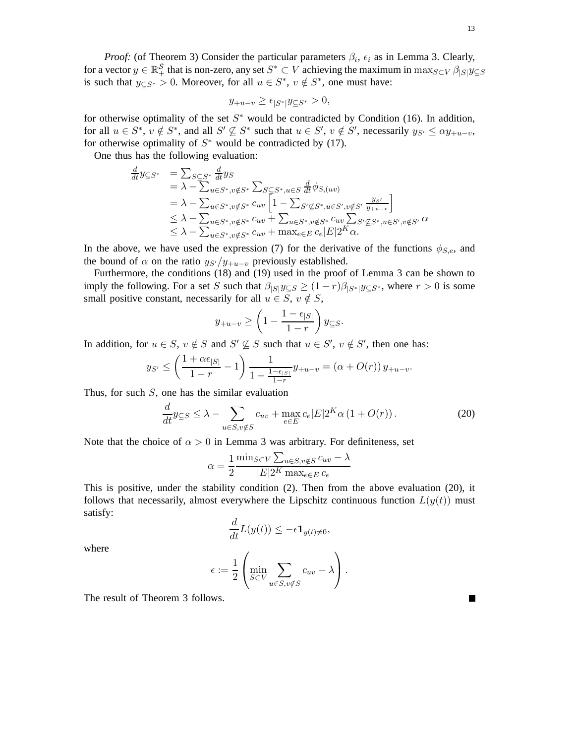$$
y_{+u-v} \ge \epsilon_{|S^*|} y_{\subseteq S^*} > 0,
$$

for otherwise optimality of the set  $S^*$  would be contradicted by Condition (16). In addition, for all  $u \in S^*$ ,  $v \notin S^*$ , and all  $S' \nsubseteq S^*$  such that  $u \in S'$ ,  $v \notin S'$ , necessarily  $y_{S'} \leq \alpha y_{+u-v}$ , for otherwise optimality of  $S^*$  would be contradicted by (17).

One thus has the following evaluation:

$$
\frac{d}{dt}y \subseteq S^* \quad = \sum_{S \subseteq S^*} \frac{d}{dt}y_S
$$
\n
$$
= \lambda - \sum_{u \in S^*, v \notin S^*} \sum_{S \subseteq S^*, u \in S} \frac{d}{dt} \phi_{S,(uv)}
$$
\n
$$
= \lambda - \sum_{u \in S^*, v \notin S^*} c_{uv} \left[1 - \sum_{S' \subseteq S^*, u \in S', v \notin S'} \frac{y_{S'}}{y_{+u-v}}\right]
$$
\n
$$
\leq \lambda - \sum_{u \in S^*, v \notin S^*} c_{uv} + \sum_{u \in S^*, v \notin S^*} c_{uv} \sum_{S' \subseteq S^*, u \in S', v \notin S'} \alpha
$$
\n
$$
\leq \lambda - \sum_{u \in S^*, v \notin S^*} c_{uv} + \max_{e \in E} c_e |E| 2^K \alpha.
$$

In the above, we have used the expression (7) for the derivative of the functions  $\phi_{S,e}$ , and the bound of  $\alpha$  on the ratio  $y_{S'}/y_{+u-v}$  previously established.

Furthermore, the conditions (18) and (19) used in the proof of Lemma 3 can be shown to imply the following. For a set S such that  $\beta_{|S|}y_{\subseteq S} \ge (1-r)\beta_{|S^*|}y_{\subseteq S^*}$ , where  $r > 0$  is some small positive constant, necessarily for all  $u \in S$ ,  $v \notin S$ ,

$$
y_{+u-v} \ge \left(1 - \frac{1 - \epsilon_{|S|}}{1 - r}\right) y_{\subseteq S}.
$$

In addition, for  $u \in S$ ,  $v \notin S$  and  $S' \nsubseteq S$  such that  $u \in S'$ ,  $v \notin S'$ , then one has:

$$
y_{S'} \le \left(\frac{1+\alpha\epsilon_{|S|}}{1-r} - 1\right) \frac{1}{1 - \frac{1-\epsilon_{|S|}}{1-r}} y_{+u-v} = (\alpha + O(r)) y_{+u-v}.
$$

Thus, for such  $S$ , one has the similar evaluation

$$
\frac{d}{dt}y_{\subseteq S} \le \lambda - \sum_{u \in S, v \notin S} c_{uv} + \max_{e \in E} c_e |E| 2^K \alpha \left( 1 + O(r) \right). \tag{20}
$$

Note that the choice of  $\alpha > 0$  in Lemma 3 was arbitrary. For definiteness, set

$$
\alpha = \frac{1}{2} \frac{\min_{S \subset V} \sum_{u \in S, v \notin S} c_{uv} - \lambda}{|E| 2^K \max_{e \in E} c_e}
$$

This is positive, under the stability condition (2). Then from the above evaluation (20), it follows that necessarily, almost everywhere the Lipschitz continuous function  $L(y(t))$  must satisfy:

$$
\frac{d}{dt}L(y(t)) \le -\epsilon \mathbf{1}_{y(t)\neq 0},
$$

where

$$
\epsilon := \frac{1}{2} \left( \min_{S \subset V} \sum_{u \in S, v \notin S} c_{uv} - \lambda \right).
$$

The result of Theorem 3 follows.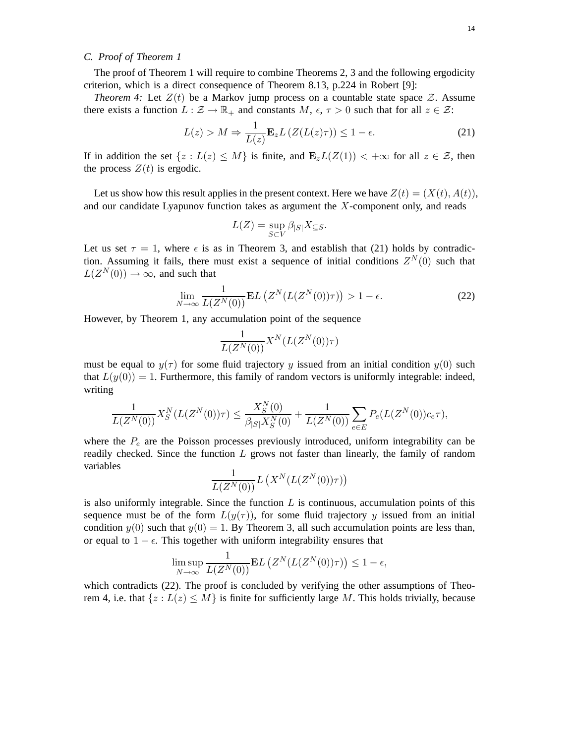## *C. Proof of Theorem 1*

The proof of Theorem 1 will require to combine Theorems 2, 3 and the following ergodicity criterion, which is a direct consequence of Theorem 8.13, p.224 in Robert [9]:

*Theorem 4:* Let  $Z(t)$  be a Markov jump process on a countable state space  $Z$ . Assume there exists a function  $L : \mathcal{Z} \to \mathbb{R}_+$  and constants  $M, \epsilon, \tau > 0$  such that for all  $z \in \mathcal{Z}$ :

$$
L(z) > M \Rightarrow \frac{1}{L(z)} \mathbf{E}_z L\left(Z(L(z)\tau)\right) \le 1 - \epsilon.
$$
 (21)

If in addition the set  $\{z : L(z) \leq M\}$  is finite, and  $\mathbf{E}_z L(Z(1)) < +\infty$  for all  $z \in \mathcal{Z}$ , then the process  $Z(t)$  is ergodic.

Let us show how this result applies in the present context. Here we have  $Z(t) = (X(t), A(t))$ , and our candidate Lyapunov function takes as argument the  $X$ -component only, and reads

$$
L(Z) = \sup_{S \subset V} \beta_{|S|} X_{\subseteq S}.
$$

Let us set  $\tau = 1$ , where  $\epsilon$  is as in Theorem 3, and establish that (21) holds by contradiction. Assuming it fails, there must exist a sequence of initial conditions  $Z^N(0)$  such that  $L(Z^N(0)) \to \infty$ , and such that

$$
\lim_{N \to \infty} \frac{1}{L(Z^N(0))} \mathbf{E} L\left(Z^N(L(Z^N(0))\tau)\right) > 1 - \epsilon. \tag{22}
$$

However, by Theorem 1, any accumulation point of the sequence

$$
\frac{1}{L(Z^N(0))}X^N(L(Z^N(0))\tau)
$$

must be equal to  $y(\tau)$  for some fluid trajectory y issued from an initial condition  $y(0)$  such that  $L(y(0)) = 1$ . Furthermore, this family of random vectors is uniformly integrable: indeed, writing

$$
\frac{1}{L(Z^N(0))} X_S^N(L(Z^N(0))\tau) \le \frac{X_S^N(0)}{\beta_{|S|} X_S^N(0)} + \frac{1}{L(Z^N(0))} \sum_{e \in E} P_e(L(Z^N(0))c_e\tau),
$$

where the  $P_e$  are the Poisson processes previously introduced, uniform integrability can be readily checked. Since the function  $L$  grows not faster than linearly, the family of random variables

$$
\frac{1}{L(Z^N(0))}L(X^N(L(Z^N(0))\tau))
$$

is also uniformly integrable. Since the function  $L$  is continuous, accumulation points of this sequence must be of the form  $L(y(\tau))$ , for some fluid trajectory y issued from an initial condition  $y(0)$  such that  $y(0) = 1$ . By Theorem 3, all such accumulation points are less than, or equal to  $1 - \epsilon$ . This together with uniform integrability ensures that

$$
\limsup_{N \to \infty} \frac{1}{L(Z^N(0))} \mathbf{E} L\left(Z^N(L(Z^N(0))\tau)\right) \le 1 - \epsilon,
$$

which contradicts (22). The proof is concluded by verifying the other assumptions of Theorem 4, i.e. that  $\{z : L(z) \leq M\}$  is finite for sufficiently large M. This holds trivially, because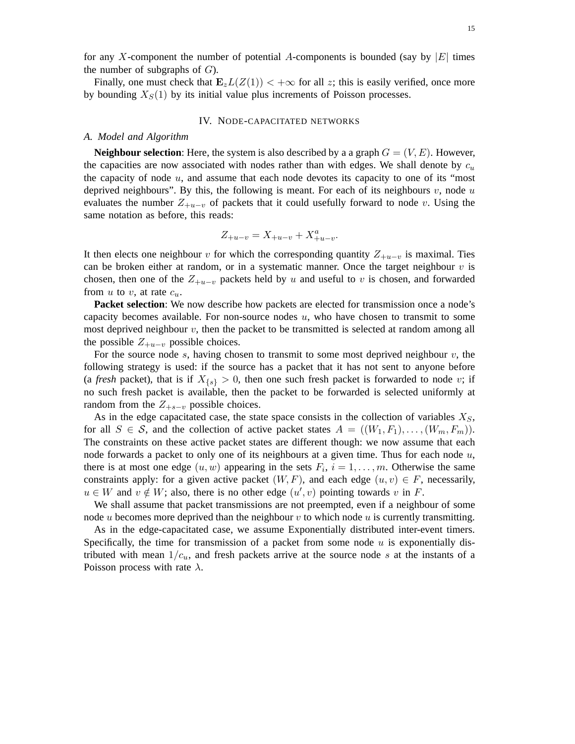for any X-component the number of potential A-components is bounded (say by  $|E|$  times the number of subgraphs of  $G$ ).

Finally, one must check that  $\mathbf{E}_z L(Z(1)) < +\infty$  for all z; this is easily verified, once more by bounding  $X_S(1)$  by its initial value plus increments of Poisson processes.

## IV. NODE-CAPACITATED NETWORKS

#### *A. Model and Algorithm*

**Neighbour selection**: Here, the system is also described by a a graph  $G = (V, E)$ . However, the capacities are now associated with nodes rather than with edges. We shall denote by  $c_u$ the capacity of node  $u$ , and assume that each node devotes its capacity to one of its "most" deprived neighbours". By this, the following is meant. For each of its neighbours  $v$ , node  $u$ evaluates the number  $Z_{+u-v}$  of packets that it could usefully forward to node v. Using the same notation as before, this reads:

$$
Z_{+u-v} = X_{+u-v} + X_{+u-v}^a.
$$

It then elects one neighbour v for which the corresponding quantity  $Z_{+u-v}$  is maximal. Ties can be broken either at random, or in a systematic manner. Once the target neighbour  $v$  is chosen, then one of the  $Z_{+u-v}$  packets held by u and useful to v is chosen, and forwarded from u to v, at rate  $c_u$ .

**Packet selection**: We now describe how packets are elected for transmission once a node's capacity becomes available. For non-source nodes  $u$ , who have chosen to transmit to some most deprived neighbour  $v$ , then the packet to be transmitted is selected at random among all the possible  $Z_{+u-v}$  possible choices.

For the source node s, having chosen to transmit to some most deprived neighbour  $v$ , the following strategy is used: if the source has a packet that it has not sent to anyone before (a *fresh* packet), that is if  $X_{\{s\}} > 0$ , then one such fresh packet is forwarded to node v; if no such fresh packet is available, then the packet to be forwarded is selected uniformly at random from the  $Z_{+s-v}$  possible choices.

As in the edge capacitated case, the state space consists in the collection of variables  $X<sub>S</sub>$ , for all  $S \in \mathcal{S}$ , and the collection of active packet states  $A = ((W_1, F_1), \ldots, (W_m, F_m))$ . The constraints on these active packet states are different though: we now assume that each node forwards a packet to only one of its neighbours at a given time. Thus for each node  $u$ , there is at most one edge  $(u, w)$  appearing in the sets  $F_i$ ,  $i = 1, \ldots, m$ . Otherwise the same constraints apply: for a given active packet  $(W, F)$ , and each edge  $(u, v) \in F$ , necessarily,  $u \in W$  and  $v \notin W$ ; also, there is no other edge  $(u', v)$  pointing towards v in F.

We shall assume that packet transmissions are not preempted, even if a neighbour of some node u becomes more deprived than the neighbour v to which node u is currently transmitting.

As in the edge-capacitated case, we assume Exponentially distributed inter-event timers. Specifically, the time for transmission of a packet from some node  $u$  is exponentially distributed with mean  $1/c_u$ , and fresh packets arrive at the source node s at the instants of a Poisson process with rate  $\lambda$ .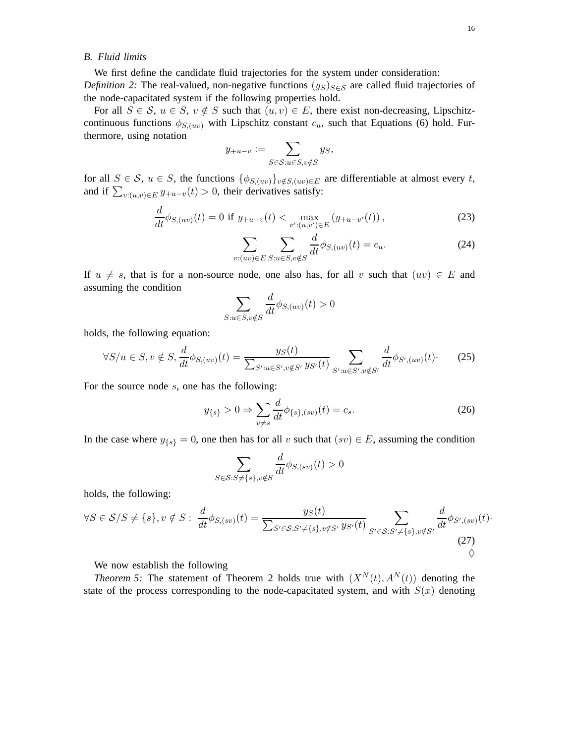## *B. Fluid limits*

We first define the candidate fluid trajectories for the system under consideration:

*Definition 2:* The real-valued, non-negative functions  $(y_S)_{S \in \mathcal{S}}$  are called fluid trajectories of the node-capacitated system if the following properties hold.

For all  $S \in \mathcal{S}$ ,  $u \in S$ ,  $v \notin S$  such that  $(u, v) \in E$ , there exist non-decreasing, Lipschitzcontinuous functions  $\phi_{S,(uv)}$  with Lipschitz constant  $c_u$ , such that Equations (6) hold. Furthermore, using notation

$$
y_{+u-v} := \sum_{S \in \mathcal{S}: u \in S, v \notin S} y_S,
$$

for all  $S \in \mathcal{S}$ ,  $u \in S$ , the functions  $\{\phi_{S,(uv)}\}_{v \notin S,(uv) \in E}$  are differentiable at almost every t, and if  $\sum_{v:(u,v)\in E} y_{+u-v}(t) > 0$ , their derivatives satisfy:

$$
\frac{d}{dt}\phi_{S,(uv)}(t) = 0 \text{ if } y_{+u-v}(t) < \max_{v':(u,v') \in E} \left( y_{+u-v'}(t) \right),\tag{23}
$$

$$
\sum_{v:(uv)\in E} \sum_{S:u\in S,v\notin S} \frac{d}{dt} \phi_{S,(uv)}(t) = c_u.
$$
 (24)

If  $u \neq s$ , that is for a non-source node, one also has, for all v such that  $(uv) \in E$  and assuming the condition

$$
\sum_{S: u \in S, v \notin S} \frac{d}{dt} \phi_{S,(uv)}(t) > 0
$$

holds, the following equation:

$$
\forall S/u \in S, v \notin S, \frac{d}{dt} \phi_{S,(uv)}(t) = \frac{y_S(t)}{\sum_{S': u \in S', v \notin S'} y_{S'}(t)} \sum_{S': u \in S', v \notin S'} \frac{d}{dt} \phi_{S',(uv)}(t). \tag{25}
$$

For the source node s, one has the following:

$$
y_{\{s\}} > 0 \Rightarrow \sum_{v \neq s} \frac{d}{dt} \phi_{\{s\},(sv)}(t) = c_s.
$$
 (26)

In the case where  $y_{\{s\}} = 0$ , one then has for all v such that  $(sv) \in E$ , assuming the condition

$$
\sum_{S \in \mathcal{S}: S \neq \{s\}, v \notin S} \frac{d}{dt} \phi_{S,(sv)}(t) > 0
$$

holds, the following:

$$
\forall S \in \mathcal{S}/S \neq \{s\}, v \notin S: \frac{d}{dt} \phi_{S,(sv)}(t) = \frac{y_S(t)}{\sum_{S' \in \mathcal{S}: S' \neq \{s\}, v \notin S'} y_{S'}(t)} \sum_{S' \in \mathcal{S}: S' \neq \{s\}, v \notin S'} \frac{d}{dt} \phi_{S',(sv)}(t) \cdot (27)
$$
\n
$$
\diamondsuit
$$

We now establish the following

*Theorem 5:* The statement of Theorem 2 holds true with  $(X^N(t), A^N(t))$  denoting the state of the process corresponding to the node-capacitated system, and with  $S(x)$  denoting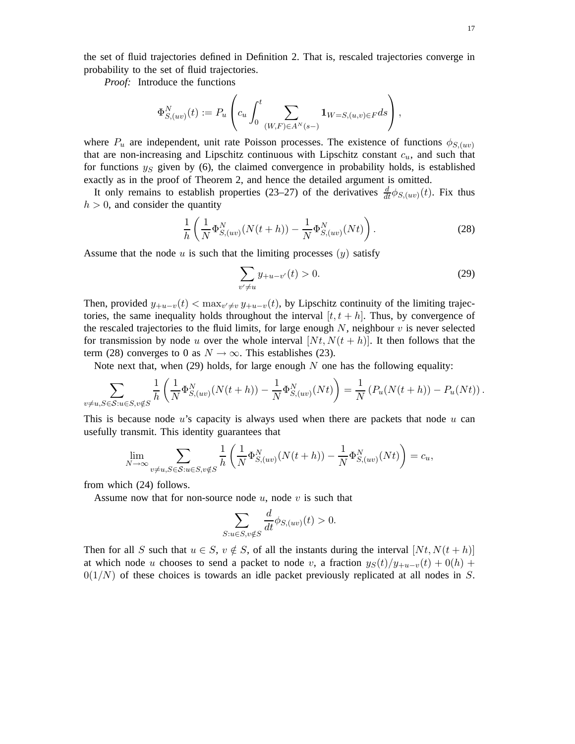the set of fluid trajectories defined in Definition 2. That is, rescaled trajectories converge in probability to the set of fluid trajectories.

*Proof:* Introduce the functions

$$
\Phi_{S,(uv)}^N(t) := P_u \left( c_u \int_0^t \sum_{(W,F) \in A^N(s-)} \mathbf{1}_{W=S,(u,v) \in F} ds \right),
$$

where  $P_u$  are independent, unit rate Poisson processes. The existence of functions  $\phi_{S,(uv)}$ that are non-increasing and Lipschitz continuous with Lipschitz constant  $c<sub>u</sub>$ , and such that for functions  $y_S$  given by (6), the claimed convergence in probability holds, is established exactly as in the proof of Theorem 2, and hence the detailed argument is omitted.

It only remains to establish properties (23–27) of the derivatives  $\frac{d}{dt}\phi_{S,(uv)}(t)$ . Fix thus  $h > 0$ , and consider the quantity

$$
\frac{1}{h}\left(\frac{1}{N}\Phi_{S,(uv)}^{N}(N(t+h)) - \frac{1}{N}\Phi_{S,(uv)}^{N}(Nt)\right).
$$
\n(28)

Assume that the node  $u$  is such that the limiting processes  $(y)$  satisfy

$$
\sum_{v' \neq u} y_{+u-v'}(t) > 0.
$$
\n(29)

Then, provided  $y_{+u-v}(t) < \max_{v' \neq v} y_{+u-v}(t)$ , by Lipschitz continuity of the limiting trajectories, the same inequality holds throughout the interval  $[t, t + h]$ . Thus, by convergence of the rescaled trajectories to the fluid limits, for large enough  $N$ , neighbour  $v$  is never selected for transmission by node u over the whole interval  $[N_t, N(t+h)]$ . It then follows that the term (28) converges to 0 as  $N \to \infty$ . This establishes (23).

Note next that, when  $(29)$  holds, for large enough N one has the following equality:

$$
\sum_{v \neq u, S \in S: u \in S, v \notin S} \frac{1}{h} \left( \frac{1}{N} \Phi_{S,(uv)}^N(N(t+h)) - \frac{1}{N} \Phi_{S,(uv)}^N(Nt) \right) = \frac{1}{N} \left( P_u(N(t+h)) - P_u(Nt) \right).
$$

This is because node  $u$ 's capacity is always used when there are packets that node  $u$  can usefully transmit. This identity guarantees that

$$
\lim_{N \to \infty} \sum_{v \neq u, S \in \mathcal{S}: u \in S, v \notin S} \frac{1}{h} \left( \frac{1}{N} \Phi_{S,(uv)}^N (N(t+h)) - \frac{1}{N} \Phi_{S,(uv)}^N (Nt) \right) = c_u,
$$

from which (24) follows.

Assume now that for non-source node  $u$ , node  $v$  is such that

$$
\sum_{S: u \in S, v \notin S} \frac{d}{dt} \phi_{S,(uv)}(t) > 0.
$$

Then for all S such that  $u \in S$ ,  $v \notin S$ , of all the instants during the interval  $[Nt, N(t+h)]$ at which node u chooses to send a packet to node v, a fraction  $y_S(t)/y_{+u-v}(t) + o(h)$  +  $0(1/N)$  of these choices is towards an idle packet previously replicated at all nodes in S.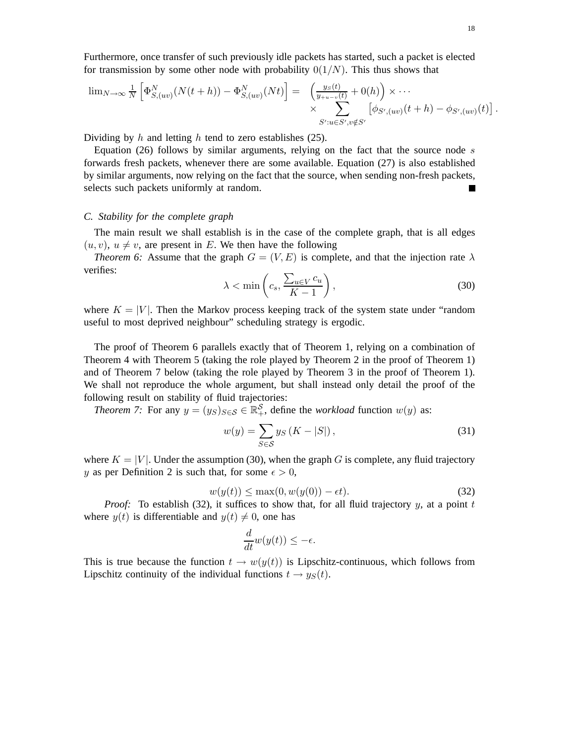Furthermore, once transfer of such previously idle packets has started, such a packet is elected for transmission by some other node with probability  $0(1/N)$ . This thus shows that

$$
\lim_{N \to \infty} \frac{1}{N} \left[ \Phi_{S,(uv)}^N(N(t+h)) - \Phi_{S,(uv)}^N(Nt) \right] = \left( \frac{y_S(t)}{y_{+u-v}(t)} + 0(h) \right) \times \cdots \times \sum_{S':u \in S',v \notin S'} \left[ \phi_{S',(uv)}(t+h) - \phi_{S',(uv)}(t) \right].
$$

Dividing by h and letting h tend to zero establishes  $(25)$ .

Equation (26) follows by similar arguments, relying on the fact that the source node  $s$ forwards fresh packets, whenever there are some available. Equation (27) is also established by similar arguments, now relying on the fact that the source, when sending non-fresh packets, selects such packets uniformly at random.

# *C. Stability for the complete graph*

The main result we shall establish is in the case of the complete graph, that is all edges  $(u, v)$ ,  $u \neq v$ , are present in E. We then have the following

*Theorem 6:* Assume that the graph  $G = (V, E)$  is complete, and that the injection rate  $\lambda$ verifies:

$$
\lambda < \min\left(c_s, \frac{\sum_{u \in V} c_u}{K - 1}\right),\tag{30}
$$

where  $K = |V|$ . Then the Markov process keeping track of the system state under "random" useful to most deprived neighbour" scheduling strategy is ergodic.

The proof of Theorem 6 parallels exactly that of Theorem 1, relying on a combination of Theorem 4 with Theorem 5 (taking the role played by Theorem 2 in the proof of Theorem 1) and of Theorem 7 below (taking the role played by Theorem 3 in the proof of Theorem 1). We shall not reproduce the whole argument, but shall instead only detail the proof of the following result on stability of fluid trajectories:

*Theorem 7:* For any  $y = (y_S)_{S \in \mathcal{S}} \in \mathbb{R}^{\mathcal{S}}_+$ , define the *workload* function  $w(y)$  as:

$$
w(y) = \sum_{S \in \mathcal{S}} y_S \left( K - |S| \right),\tag{31}
$$

where  $K = |V|$ . Under the assumption (30), when the graph G is complete, any fluid trajectory y as per Definition 2 is such that, for some  $\epsilon > 0$ ,

$$
w(y(t)) \le \max(0, w(y(0)) - \epsilon t). \tag{32}
$$

*Proof:* To establish (32), it suffices to show that, for all fluid trajectory  $y$ , at a point  $t$ where  $y(t)$  is differentiable and  $y(t) \neq 0$ , one has

$$
\frac{d}{dt}w(y(t)) \le -\epsilon.
$$

This is true because the function  $t \to w(y(t))$  is Lipschitz-continuous, which follows from Lipschitz continuity of the individual functions  $t \rightarrow y_S(t)$ .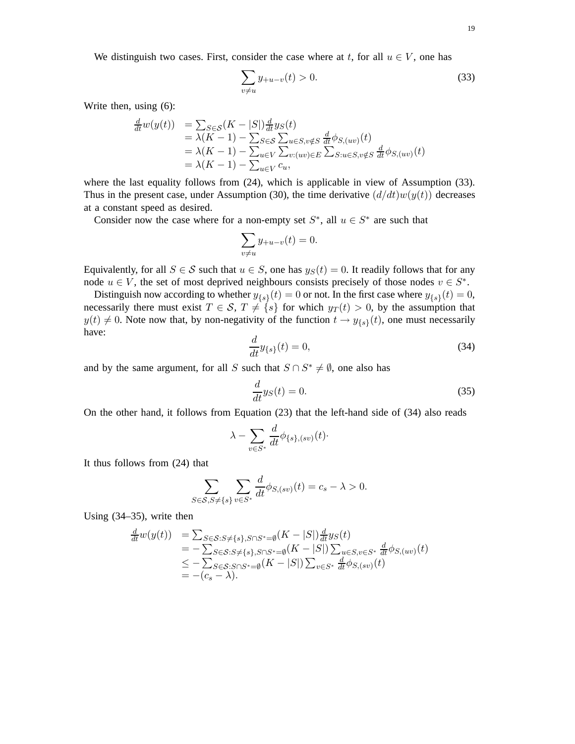We distinguish two cases. First, consider the case where at t, for all  $u \in V$ , one has

$$
\sum_{v \neq u} y_{+u-v}(t) > 0.
$$
\n(33)

Write then, using (6):

$$
\frac{d}{dt}w(y(t)) = \sum_{S \in \mathcal{S}} (K - |S|) \frac{d}{dt} y_S(t)
$$
\n
$$
= \lambda (K - 1) - \sum_{S \in \mathcal{S}} \sum_{u \in S, v \notin S} \frac{d}{dt} \phi_{S,(uv)}(t)
$$
\n
$$
= \lambda (K - 1) - \sum_{u \in V} \sum_{v:(uv) \in E} \sum_{S: u \in S, v \notin S} \frac{d}{dt} \phi_{S,(uv)}(t)
$$
\n
$$
= \lambda (K - 1) - \sum_{u \in V} c_u,
$$

where the last equality follows from  $(24)$ , which is applicable in view of Assumption  $(33)$ . Thus in the present case, under Assumption (30), the time derivative  $(d/dt)w(y(t))$  decreases at a constant speed as desired.

Consider now the case where for a non-empty set  $S^*$ , all  $u \in S^*$  are such that

$$
\sum_{v \neq u} y_{+u-v}(t) = 0.
$$

Equivalently, for all  $S \in \mathcal{S}$  such that  $u \in S$ , one has  $y_S(t) = 0$ . It readily follows that for any node  $u \in V$ , the set of most deprived neighbours consists precisely of those nodes  $v \in S^*$ .

Distinguish now according to whether  $y_{\{s\}}(t) = 0$  or not. In the first case where  $y_{\{s\}}(t) = 0$ , necessarily there must exist  $T \in S$ ,  $T \neq \{s\}$  for which  $y_T(t) > 0$ , by the assumption that  $y(t) \neq 0$ . Note now that, by non-negativity of the function  $t \rightarrow y_{\{s\}}(t)$ , one must necessarily have:

$$
\frac{d}{dt}y_{\{s\}}(t) = 0,\t\t(34)
$$

and by the same argument, for all S such that  $S \cap S^* \neq \emptyset$ , one also has

$$
\frac{d}{dt}y_S(t) = 0.\t\t(35)
$$

On the other hand, it follows from Equation (23) that the left-hand side of (34) also reads

$$
\lambda - \sum_{v \in S^*} \frac{d}{dt} \phi_{\{s\},(sv)}(t) \cdot
$$

It thus follows from (24) that

 $S$ 

$$
\sum_{\epsilon S, S \neq \{s\}} \sum_{v \in S^*} \frac{d}{dt} \phi_{S,(sv)}(t) = c_s - \lambda > 0.
$$

Using (34–35), write then

$$
\frac{d}{dt}w(y(t)) = \sum_{S \in \mathcal{S}: S \neq \{s\}, S \cap S^* = \emptyset} (K - |S|) \frac{d}{dt} y_S(t)
$$
  
\n
$$
= -\sum_{S \in \mathcal{S}: S \neq \{s\}, S \cap S^* = \emptyset} (K - |S|) \sum_{u \in S, v \in S^*} \frac{d}{dt} \phi_{S,(uv)}(t)
$$
  
\n
$$
\leq -\sum_{S \in \mathcal{S}: S \cap S^* = \emptyset} (K - |S|) \sum_{v \in S^*} \frac{d}{dt} \phi_{S,(sv)}(t)
$$
  
\n
$$
= -(c_s - \lambda).
$$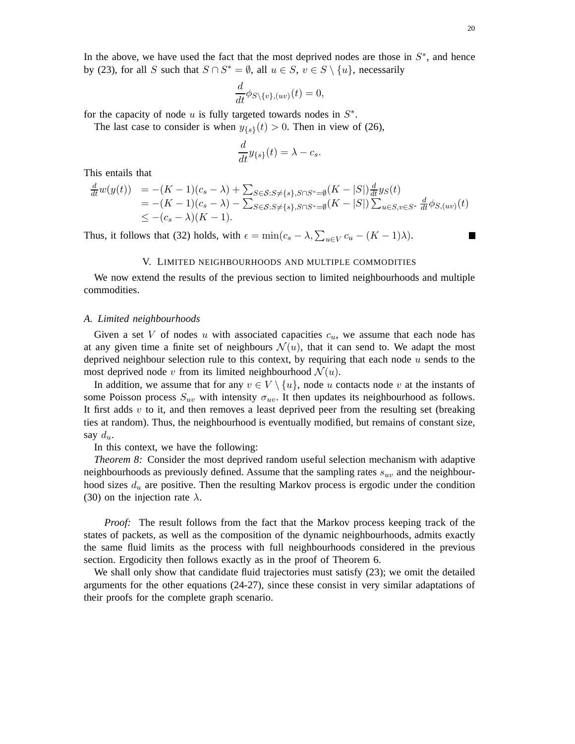In the above, we have used the fact that the most deprived nodes are those in  $S^*$ , and hence by (23), for all S such that  $S \cap S^* = \emptyset$ , all  $u \in S$ ,  $v \in S \setminus \{u\}$ , necessarily

$$
\frac{d}{dt}\phi_{S\setminus\{v\},(uv)}(t)=0,
$$

for the capacity of node  $u$  is fully targeted towards nodes in  $S^*$ .

The last case to consider is when  $y_{\{s\}}(t) > 0$ . Then in view of (26),

$$
\frac{d}{dt}y_{\{s\}}(t) = \lambda - c_s.
$$

This entails that

$$
\frac{d}{dt}w(y(t)) = -(K-1)(c_s - \lambda) + \sum_{S \in \mathcal{S}: S \neq \{s\}, S \cap S^* = \emptyset} (K - |S|) \frac{d}{dt} y_S(t)
$$
  
= -(K-1)(c\_s - \lambda) - \sum\_{S \in \mathcal{S}: S \neq \{s\}, S \cap S^\* = \emptyset} (K - |S|) \sum\_{u \in S, v \in S^\*} \frac{d}{dt} \phi\_{S,(uv)}(t)  
\le - (c\_s - \lambda)(K - 1).

Thus, it follows that (32) holds, with  $\epsilon = \min(c_s - \lambda, \sum_{u \in V} c_u - (K - 1)\lambda)$ .

#### $\blacksquare$

#### V. LIMITED NEIGHBOURHOODS AND MULTIPLE COMMODITIES

We now extend the results of the previous section to limited neighbourhoods and multiple commodities.

#### *A. Limited neighbourhoods*

Given a set V of nodes u with associated capacities  $c_u$ , we assume that each node has at any given time a finite set of neighbours  $\mathcal{N}(u)$ , that it can send to. We adapt the most deprived neighbour selection rule to this context, by requiring that each node  $u$  sends to the most deprived node v from its limited neighbourhood  $\mathcal{N}(u)$ .

In addition, we assume that for any  $v \in V \setminus \{u\}$ , node u contacts node v at the instants of some Poisson process  $S_{uv}$  with intensity  $\sigma_{uv}$ . It then updates its neighbourhood as follows. It first adds  $v$  to it, and then removes a least deprived peer from the resulting set (breaking ties at random). Thus, the neighbourhood is eventually modified, but remains of constant size, say  $d_u$ .

In this context, we have the following:

*Theorem 8:* Consider the most deprived random useful selection mechanism with adaptive neighbourhoods as previously defined. Assume that the sampling rates  $s_{uv}$  and the neighbourhood sizes  $d_u$  are positive. Then the resulting Markov process is ergodic under the condition (30) on the injection rate  $\lambda$ .

*Proof:* The result follows from the fact that the Markov process keeping track of the states of packets, as well as the composition of the dynamic neighbourhoods, admits exactly the same fluid limits as the process with full neighbourhoods considered in the previous section. Ergodicity then follows exactly as in the proof of Theorem 6.

We shall only show that candidate fluid trajectories must satisfy (23); we omit the detailed arguments for the other equations (24-27), since these consist in very similar adaptations of their proofs for the complete graph scenario.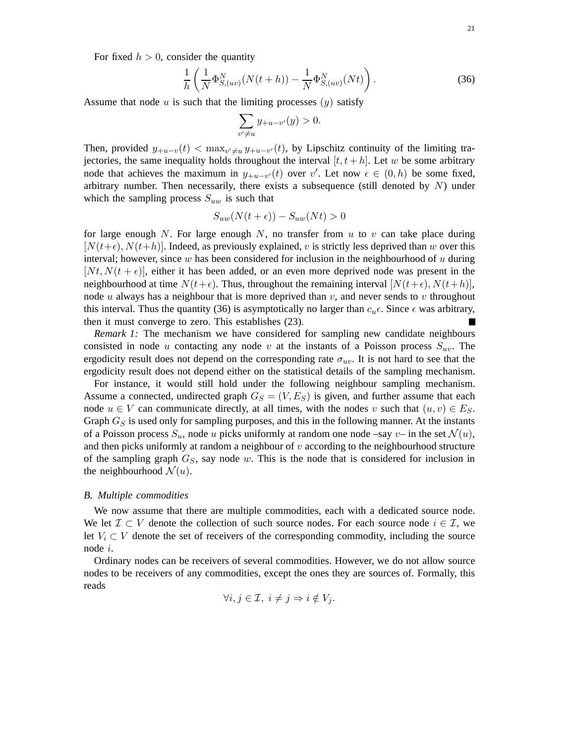For fixed  $h > 0$ , consider the quantity

$$
\frac{1}{h} \left( \frac{1}{N} \Phi_{S,(uv)}^N (N(t+h)) - \frac{1}{N} \Phi_{S,(uv)}^N (Nt) \right).
$$
 (36)

Assume that node  $u$  is such that the limiting processes  $(y)$  satisfy

$$
\sum_{v' \neq u} y_{+u-v'}(y) > 0.
$$

Then, provided  $y_{+u-v}(t) < \max_{v' \neq u} y_{+u-v'}(t)$ , by Lipschitz continuity of the limiting trajectories, the same inequality holds throughout the interval  $[t, t + h]$ . Let w be some arbitrary node that achieves the maximum in  $y_{+u-v}(t)$  over v'. Let now  $\epsilon \in (0,h)$  be some fixed, arbitrary number. Then necessarily, there exists a subsequence (still denoted by  $N$ ) under which the sampling process  $S_{uw}$  is such that

$$
S_{uw}(N(t+\epsilon)) - S_{uw}(Nt) > 0
$$

for large enough N. For large enough N, no transfer from  $u$  to  $v$  can take place during  $[N(t+\epsilon), N(t+h)]$ . Indeed, as previously explained, v is strictly less deprived than w over this interval; however, since w has been considered for inclusion in the neighbourhood of  $u$  during  $[N_t, N(t + \epsilon)]$ , either it has been added, or an even more deprived node was present in the neighbourhood at time  $N(t+\epsilon)$ . Thus, throughout the remaining interval  $[N(t+\epsilon), N(t+h)],$ node u always has a neighbour that is more deprived than  $v$ , and never sends to v throughout this interval. Thus the quantity (36) is asymptotically no larger than  $c_u \epsilon$ . Since  $\epsilon$  was arbitrary, then it must converge to zero. This establishes (23).

*Remark 1:* The mechanism we have considered for sampling new candidate neighbours consisted in node u contacting any node v at the instants of a Poisson process  $S_{uv}$ . The ergodicity result does not depend on the corresponding rate  $\sigma_{uv}$ . It is not hard to see that the ergodicity result does not depend either on the statistical details of the sampling mechanism.

For instance, it would still hold under the following neighbour sampling mechanism. Assume a connected, undirected graph  $G_S = (V, E_S)$  is given, and further assume that each node  $u \in V$  can communicate directly, at all times, with the nodes v such that  $(u, v) \in E_S$ . Graph  $G_S$  is used only for sampling purposes, and this in the following manner. At the instants of a Poisson process  $S_u$ , node u picks uniformly at random one node –say  $v$ – in the set  $\mathcal{N}(u)$ , and then picks uniformly at random a neighbour of  $v$  according to the neighbourhood structure of the sampling graph  $G<sub>S</sub>$ , say node w. This is the node that is considered for inclusion in the neighbourhood  $\mathcal{N}(u)$ .

#### *B. Multiple commodities*

We now assume that there are multiple commodities, each with a dedicated source node. We let  $\mathcal{I} \subset V$  denote the collection of such source nodes. For each source node  $i \in \mathcal{I}$ , we let  $V_i \subset V$  denote the set of receivers of the corresponding commodity, including the source node i.

Ordinary nodes can be receivers of several commodities. However, we do not allow source nodes to be receivers of any commodities, except the ones they are sources of. Formally, this reads

$$
\forall i, j \in \mathcal{I}, \ i \neq j \Rightarrow i \notin V_j.
$$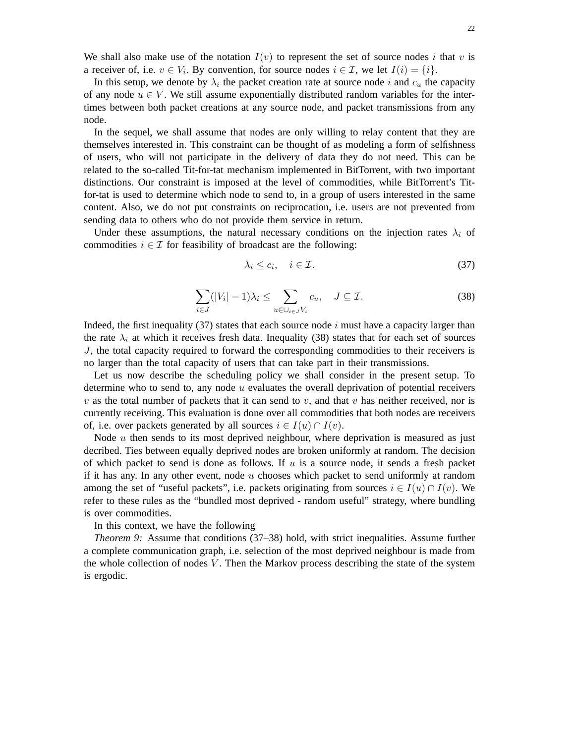We shall also make use of the notation  $I(v)$  to represent the set of source nodes i that v is a receiver of, i.e.  $v \in V_i$ . By convention, for source nodes  $i \in \mathcal{I}$ , we let  $I(i) = \{i\}$ .

In this setup, we denote by  $\lambda_i$  the packet creation rate at source node i and  $c_u$  the capacity of any node  $u \in V$ . We still assume exponentially distributed random variables for the intertimes between both packet creations at any source node, and packet transmissions from any node.

In the sequel, we shall assume that nodes are only willing to relay content that they are themselves interested in. This constraint can be thought of as modeling a form of selfishness of users, who will not participate in the delivery of data they do not need. This can be related to the so-called Tit-for-tat mechanism implemented in BitTorrent, with two important distinctions. Our constraint is imposed at the level of commodities, while BitTorrent's Titfor-tat is used to determine which node to send to, in a group of users interested in the same content. Also, we do not put constraints on reciprocation, i.e. users are not prevented from sending data to others who do not provide them service in return.

Under these assumptions, the natural necessary conditions on the injection rates  $\lambda_i$  of commodities  $i \in \mathcal{I}$  for feasibility of broadcast are the following:

$$
\lambda_i \le c_i, \quad i \in \mathcal{I}.\tag{37}
$$

$$
\sum_{i \in J} (|V_i| - 1)\lambda_i \le \sum_{u \in \bigcup_{i \in J} V_i} c_u, \quad J \subseteq \mathcal{I}.
$$
 (38)

Indeed, the first inequality  $(37)$  states that each source node i must have a capacity larger than the rate  $\lambda_i$  at which it receives fresh data. Inequality (38) states that for each set of sources J, the total capacity required to forward the corresponding commodities to their receivers is no larger than the total capacity of users that can take part in their transmissions.

Let us now describe the scheduling policy we shall consider in the present setup. To determine who to send to, any node  $u$  evaluates the overall deprivation of potential receivers  $v$  as the total number of packets that it can send to  $v$ , and that  $v$  has neither received, nor is currently receiving. This evaluation is done over all commodities that both nodes are receivers of, i.e. over packets generated by all sources  $i \in I(u) \cap I(v)$ .

Node  $u$  then sends to its most deprived neighbour, where deprivation is measured as just decribed. Ties between equally deprived nodes are broken uniformly at random. The decision of which packet to send is done as follows. If  $u$  is a source node, it sends a fresh packet if it has any. In any other event, node  $u$  chooses which packet to send uniformly at random among the set of "useful packets", i.e. packets originating from sources  $i \in I(u) \cap I(v)$ . We refer to these rules as the "bundled most deprived - random useful" strategy, where bundling is over commodities.

In this context, we have the following

*Theorem 9:* Assume that conditions (37–38) hold, with strict inequalities. Assume further a complete communication graph, i.e. selection of the most deprived neighbour is made from the whole collection of nodes  $V$ . Then the Markov process describing the state of the system is ergodic.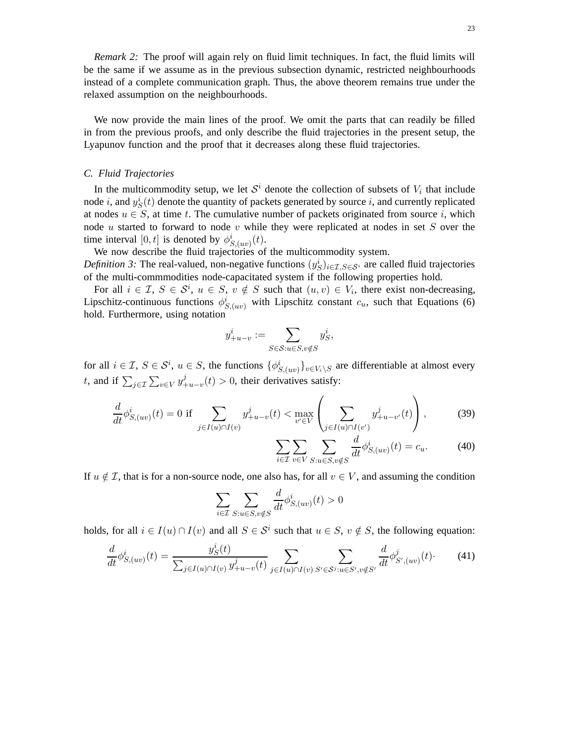*Remark 2:* The proof will again rely on fluid limit techniques. In fact, the fluid limits will be the same if we assume as in the previous subsection dynamic, restricted neighbourhoods instead of a complete communication graph. Thus, the above theorem remains true under the relaxed assumption on the neighbourhoods.

We now provide the main lines of the proof. We omit the parts that can readily be filled in from the previous proofs, and only describe the fluid trajectories in the present setup, the Lyapunov function and the proof that it decreases along these fluid trajectories.

#### *C. Fluid Trajectories*

In the multicommodity setup, we let  $S<sup>i</sup>$  denote the collection of subsets of  $V<sub>i</sub>$  that include node *i*, and  $y_S^i(t)$  denote the quantity of packets generated by source *i*, and currently replicated at nodes  $u \in S$ , at time t. The cumulative number of packets originated from source i, which node  $u$  started to forward to node  $v$  while they were replicated at nodes in set  $S$  over the time interval  $[0, t]$  is denoted by  $\phi_{S,(uv)}^i(t)$ .

We now describe the fluid trajectories of the multicommodity system.

*Definition 3:* The real-valued, non-negative functions  $(y_S^i)_{i \in I, S \in S^i}$  are called fluid trajectories of the multi-commmodities node-capacitated system if the following properties hold.

For all  $i \in \mathcal{I}, S \in \mathcal{S}^i, u \in S, v \notin S$  such that  $(u, v) \in V_i$ , there exist non-decreasing, Lipschitz-continuous functions  $\phi_{S,(uv)}^i$  with Lipschitz constant  $c_u$ , such that Equations (6) hold. Furthermore, using notation

$$
y^i_{+u-v} := \sum_{S \in \mathcal{S}: u \in S, v \notin S} y^i_S,
$$

for all  $i \in \mathcal{I}$ ,  $S \in \mathcal{S}^i$ ,  $u \in S$ , the functions  $\{\phi^i_{S,(uv)}\}_{v \in V_i \setminus S}$  are differentiable at almost every t, and if  $\sum_{j\in\mathcal{I}}\sum_{v\in V}y^j_+$  $t_{+u-v}^{j}(t) > 0$ , their derivatives satisfy:

$$
\frac{d}{dt}\phi_{S,(uv)}^i(t) = 0 \text{ if } \sum_{j \in I(u) \cap I(v)} y_{+u-v}^j(t) < \max_{v' \in V} \left( \sum_{j \in I(u) \cap I(v')} y_{+u-v'}^j(t) \right), \tag{39}
$$

$$
\sum_{i \in \mathcal{I}} \sum_{v \in V} \sum_{S: u \in S, v \notin S} \frac{d}{dt} \phi_{S,(uv)}^i(t) = c_u.
$$
 (40)

If  $u \notin \mathcal{I}$ , that is for a non-source node, one also has, for all  $v \in V$ , and assuming the condition

$$
\sum_{i \in \mathcal{I}} \sum_{S: u \in S, v \notin S} \frac{d}{dt} \phi_{S,(uv)}^i(t) > 0
$$

holds, for all  $i \in I(u) \cap I(v)$  and all  $S \in S^i$  such that  $u \in S$ ,  $v \notin S$ , the following equation:

$$
\frac{d}{dt}\phi_{S,(uv)}^i(t) = \frac{y_S^i(t)}{\sum_{j \in I(u) \cap I(v)} y_{+u-v}^j(t)} \sum_{j \in I(u) \cap I(v)} \sum_{S' \in S^j : u \in S', v \notin S'} \frac{d}{dt}\phi_{S',(uv)}^j(t). \tag{41}
$$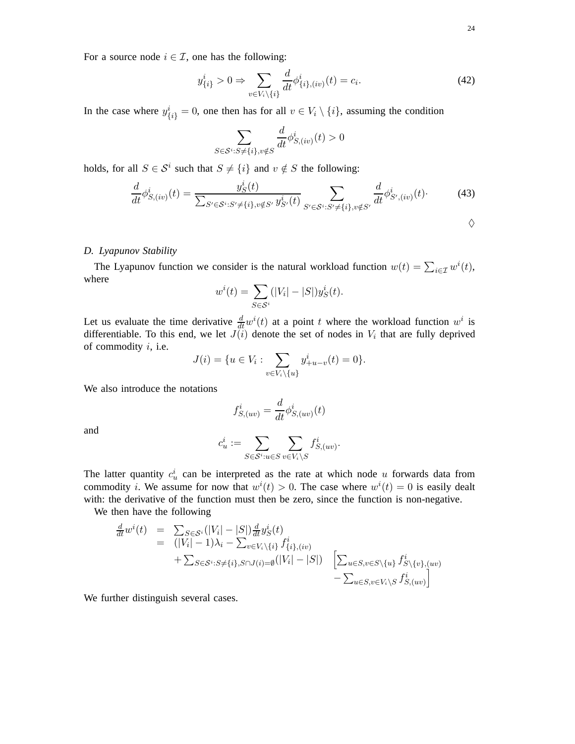For a source node  $i \in \mathcal{I}$ , one has the following:

$$
y_{\{i\}}^i > 0 \Rightarrow \sum_{v \in V_i \setminus \{i\}} \frac{d}{dt} \phi_{\{i\},(iv)}^i(t) = c_i.
$$
 (42)

In the case where  $y_{\{i\}}^i = 0$ , one then has for all  $v \in V_i \setminus \{i\}$ , assuming the condition

$$
\sum_{S \in \mathcal{S}^i : S \neq \{i\}, v \notin S} \frac{d}{dt} \phi^i_{S,(iv)}(t) > 0
$$

holds, for all  $S \in \mathcal{S}^i$  such that  $S \neq \{i\}$  and  $v \notin S$  the following:

$$
\frac{d}{dt}\phi_{S,(iv)}^i(t) = \frac{y_S^i(t)}{\sum_{S' \in \mathcal{S}^i : S' \neq \{i\}, v \notin S'} y_{S'}^i(t)} \sum_{S' \in \mathcal{S}^i : S' \neq \{i\}, v \notin S'} \frac{d}{dt}\phi_{S',(iv)}^i(t) \tag{43}
$$

#### *D. Lyapunov Stability*

The Lyapunov function we consider is the natural workload function  $w(t) = \sum_{i \in \mathcal{I}} w^{i}(t)$ , where

$$
w^{i}(t) = \sum_{S \in S^{i}} (|V_{i}| - |S|) y^{i}_{S}(t).
$$

Let us evaluate the time derivative  $\frac{d}{dt}w^{i}(t)$  at a point t where the workload function  $w^{i}$  is differentiable. To this end, we let  $J(i)$  denote the set of nodes in  $V_i$  that are fully deprived of commodity  $i$ , i.e.

$$
J(i) = \{ u \in V_i : \sum_{v \in V_i \setminus \{u\}} y^i_{+u-v}(t) = 0 \}.
$$

We also introduce the notations

$$
f_{S,(uv)}^i = \frac{d}{dt} \phi_{S,(uv)}^i(t)
$$

and

$$
c^i_u:=\sum_{S\in\mathcal{S}^i: u\in S}\sum_{v\in V_i\backslash S}f^i_{S,(uv)}.
$$

The latter quantity  $c_u^i$  can be interpreted as the rate at which node u forwards data from commodity *i*. We assume for now that  $w^{i}(t) > 0$ . The case where  $w^{i}(t) = 0$  is easily dealt with: the derivative of the function must then be zero, since the function is non-negative.

We then have the following

$$
\frac{d}{dt}w^{i}(t) = \sum_{S \in S^{i}} (|V_{i}| - |S|) \frac{d}{dt} y_{S}^{i}(t) \n= (|V_{i}| - 1)\lambda_{i} - \sum_{v \in V_{i} \setminus \{i\}} f_{\{i\},(iv)}^{i} \n+ \sum_{S \in S^{i}: S \neq \{i\}, S \cap J(i) = \emptyset} (|V_{i}| - |S|) \left[ \sum_{u \in S, v \in S \setminus \{u\}} f_{S \setminus \{v\},(uv)}^{i} - \sum_{u \in S, v \in V_{i} \setminus S} f_{S,(uv)}^{i} \right]
$$

We further distinguish several cases.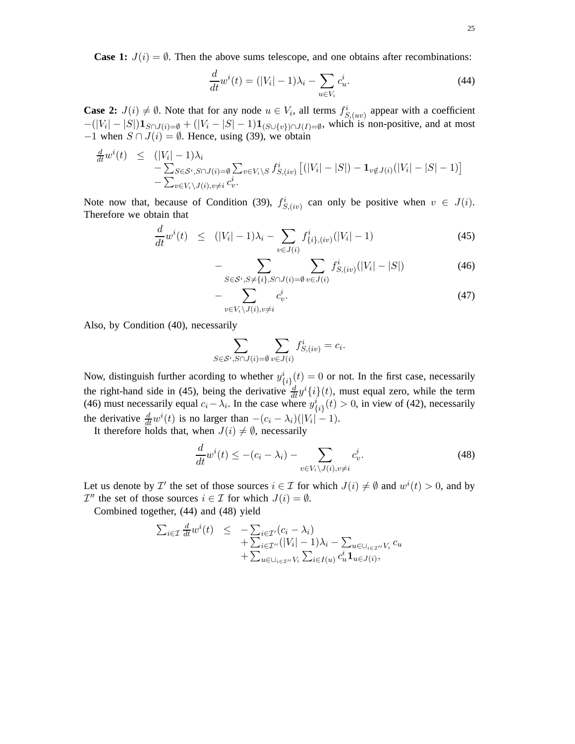**Case 1:**  $J(i) = \emptyset$ . Then the above sums telescope, and one obtains after recombinations:

$$
\frac{d}{dt}w^{i}(t) = (|V_{i}| - 1)\lambda_{i} - \sum_{u \in V_{i}} c_{u}^{i}.
$$
\n(44)

**Case 2:**  $J(i) \neq \emptyset$ . Note that for any node  $u \in V_i$ , all terms  $f_{S_i(uv)}^i$  appear with a coefficient  $-(|V_i| - |S|) \mathbf{1}_{S \cap J(i) = \emptyset} + (|V_i - |S| - 1) \mathbf{1}_{(S \cup \{v\}) \cap J(I) = \emptyset}$ , which is non-positive, and at most  $-1$  when  $S \cap J(i) = \emptyset$ . Hence, using (39), we obtain

$$
\frac{d}{dt}w^{i}(t) \leq (|V_{i}|-1)\lambda_{i} \n- \sum_{S \in S^{i}, S \cap J(i) = \emptyset} \sum_{v \in V_{i} \setminus S} f_{S,(iv)}^{i} [(|V_{i}|-|S|) - \mathbf{1}_{v \notin J(i)}(|V_{i}|-|S|-1)] \n- \sum_{v \in V_{i} \setminus J(i), v \neq i} c_{v}^{i}.
$$

Note now that, because of Condition (39),  $f_{S_i(iv)}^i$  can only be positive when  $v \in J(i)$ . Therefore we obtain that

$$
\frac{d}{dt}w^{i}(t) \leq (|V_{i}| - 1)\lambda_{i} - \sum_{v \in J(i)} f^{i}_{\{i\},(iv)}(|V_{i}| - 1)
$$
\n(45)

$$
-\sum_{S\in\mathcal{S}^i, S\neq\{i\}, S\cap J(i)=\emptyset} \sum_{v\in J(i)} f^i_{S,(iv)}(|V_i|-|S|)
$$
(46)

$$
-\sum_{v\in V_i\setminus J(i), v\neq i}c_v^i.
$$
\n(47)

.

Also, by Condition (40), necessarily

$$
\sum_{S \in \mathcal{S}^i, S \cap J(i) = \emptyset} \sum_{v \in J(i)} f_{S,(iv)}^i = c_i
$$

Now, distinguish further acording to whether  $y_{\{i\}}^i(t) = 0$  or not. In the first case, necessarily the right-hand side in (45), being the derivative  $\frac{d}{dt}y^{i}$   $\{i\}(t)$ , must equal zero, while the term (46) must necessarily equal  $c_i - \lambda_i$ . In the case where  $y_{\{i\}}^i(t) > 0$ , in view of (42), necessarily the derivative  $\frac{d}{dt}w^{i}(t)$  is no larger than  $-(c_{i} - \lambda_{i})(|V_{i}| - 1)$ .

It therefore holds that, when  $J(i) \neq \emptyset$ , necessarily

$$
\frac{d}{dt}w^{i}(t) \leq -(c_{i} - \lambda_{i}) - \sum_{v \in V_{i} \setminus J(i), v \neq i} c_{v}^{i}.
$$
\n(48)

Let us denote by  $\mathcal{I}'$  the set of those sources  $i \in \mathcal{I}$  for which  $J(i) \neq \emptyset$  and  $w^{i}(t) > 0$ , and by  $\mathcal{I}''$  the set of those sources  $i \in \mathcal{I}$  for which  $J(i) = \emptyset$ .

Combined together, (44) and (48) yield

$$
\sum_{i \in \mathcal{I}} \frac{d}{dt} w^i(t) \leq -\sum_{i \in \mathcal{I}'} (c_i - \lambda_i) \n+ \sum_{i \in \mathcal{I}''} (|V_i| - 1)\lambda_i - \sum_{u \in \cup_{i \in \mathcal{I}''}} V_i c_u \n+ \sum_{u \in \cup_{i \in \mathcal{I}''}} \sum_{i \in I(u)} c_u^i \mathbf{1}_{u \in J(i)},
$$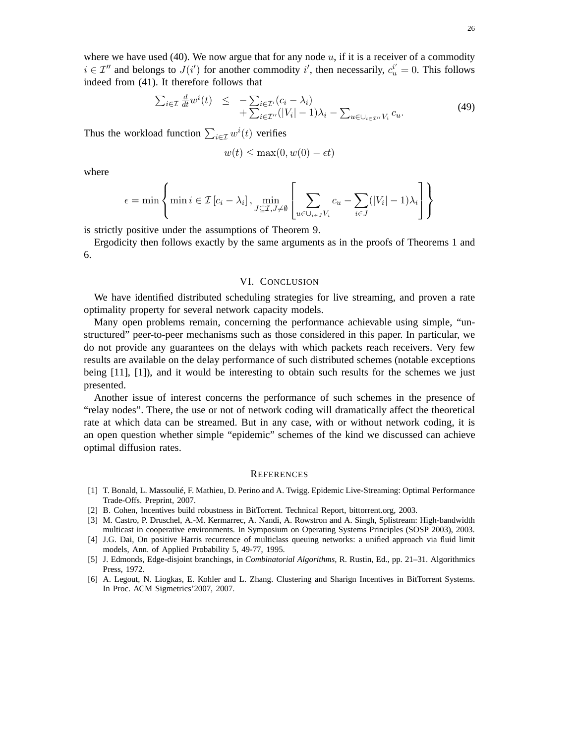where we have used (40). We now argue that for any node  $u$ , if it is a receiver of a commodity  $i \in \mathcal{I}''$  and belongs to  $J(i')$  for another commodity i', then necessarily,  $c_u^{i'} = 0$ . This follows indeed from (41). It therefore follows that

$$
\sum_{i \in \mathcal{I}} \frac{d}{dt} w^i(t) \leq -\sum_{i \in \mathcal{I}'} (c_i - \lambda_i) + \sum_{i \in \mathcal{I}''} (|V_i| - 1)\lambda_i - \sum_{u \in \cup_{i \in \mathcal{I}''}} V_i c_u.
$$
\n(49)

Thus the workload function  $\sum_{i \in \mathcal{I}} w^i(t)$  verifies

$$
w(t) \le \max(0, w(0) - \epsilon t)
$$

where

$$
\epsilon = \min \left\{ \min i \in \mathcal{I} \left[ c_i - \lambda_i \right], \min_{J \subseteq \mathcal{I}, J \neq \emptyset} \left[ \sum_{u \in \cup_{i \in J} V_i} c_u - \sum_{i \in J} (|V_i| - 1)\lambda_i \right] \right\}
$$

is strictly positive under the assumptions of Theorem 9.

Ergodicity then follows exactly by the same arguments as in the proofs of Theorems 1 and 6.

## VI. CONCLUSION

We have identified distributed scheduling strategies for live streaming, and proven a rate optimality property for several network capacity models.

Many open problems remain, concerning the performance achievable using simple, "unstructured" peer-to-peer mechanisms such as those considered in this paper. In particular, we do not provide any guarantees on the delays with which packets reach receivers. Very few results are available on the delay performance of such distributed schemes (notable exceptions being [11], [1]), and it would be interesting to obtain such results for the schemes we just presented.

Another issue of interest concerns the performance of such schemes in the presence of "relay nodes". There, the use or not of network coding will dramatically affect the theoretical rate at which data can be streamed. But in any case, with or without network coding, it is an open question whether simple "epidemic" schemes of the kind we discussed can achieve optimal diffusion rates.

#### **REFERENCES**

- [1] T. Bonald, L. Massoulié, F. Mathieu, D. Perino and A. Twigg. Epidemic Live-Streaming: Optimal Performance Trade-Offs. Preprint, 2007.
- [2] B. Cohen, Incentives build robustness in BitTorrent. Technical Report, bittorrent.org, 2003.
- [3] M. Castro, P. Druschel, A.-M. Kermarrec, A. Nandi, A. Rowstron and A. Singh, Splistream: High-bandwidth multicast in cooperative environments. In Symposium on Operating Systems Principles (SOSP 2003), 2003.
- [4] J.G. Dai, On positive Harris recurrence of multiclass queuing networks: a unified approach via fluid limit models, Ann. of Applied Probability 5, 49-77, 1995.
- [5] J. Edmonds, Edge-disjoint branchings, in *Combinatorial Algorithms*, R. Rustin, Ed., pp. 21–31. Algorithmics Press, 1972.
- [6] A. Legout, N. Liogkas, E. Kohler and L. Zhang. Clustering and Sharign Incentives in BitTorrent Systems. In Proc. ACM Sigmetrics'2007, 2007.